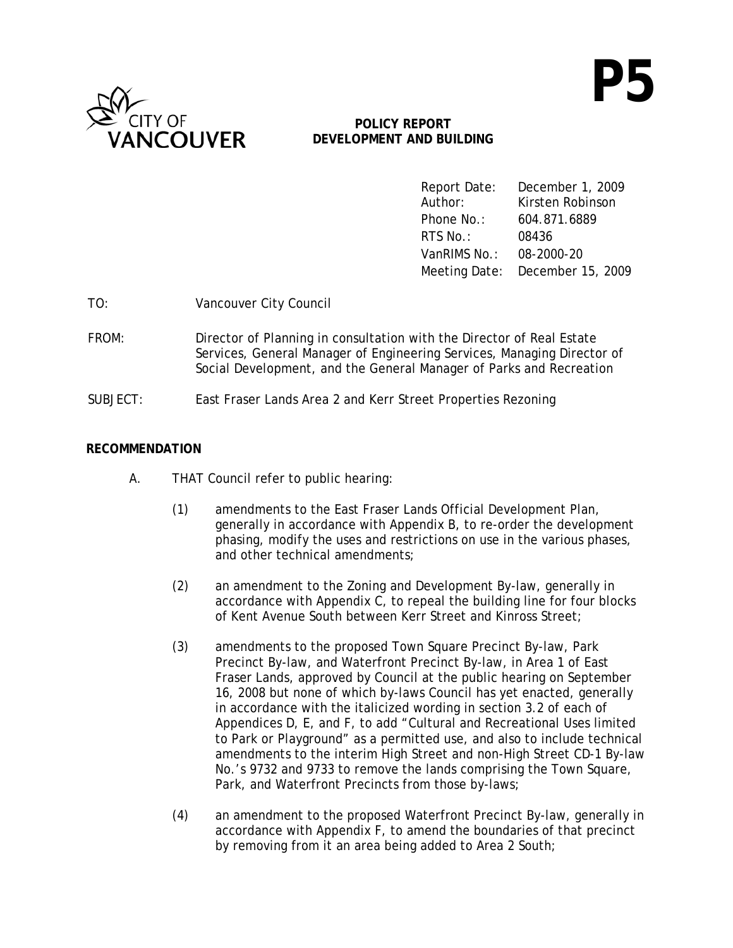

### **POLICY REPORT DEVELOPMENT AND BUILDING**

| Report Date:<br>Author: | December 1, 2009<br>Kirsten Robinson |
|-------------------------|--------------------------------------|
| Phone No.:              | 604.871.6889                         |
| RTS No.:                | 08436                                |
| VanRIMS No.:            | 08-2000-20                           |
|                         | Meeting Date: December 15, 2009      |

**P5** 

TO: Vancouver City Council

- FROM: Director of Planning in consultation with the Director of Real Estate Services, General Manager of Engineering Services, Managing Director of Social Development, and the General Manager of Parks and Recreation
- SUBJECT: East Fraser Lands Area 2 and Kerr Street Properties Rezoning

#### **RECOMMENDATION**

- A. THAT Council refer to public hearing:
	- (1) amendments to the East Fraser Lands Official Development Plan, generally in accordance with Appendix B, to re-order the development phasing, modify the uses and restrictions on use in the various phases, and other technical amendments;
	- (2) an amendment to the Zoning and Development By-law, generally in accordance with Appendix C, to repeal the building line for four blocks of Kent Avenue South between Kerr Street and Kinross Street;
	- (3) amendments to the proposed Town Square Precinct By-law, Park Precinct By-law, and Waterfront Precinct By-law, in Area 1 of East Fraser Lands, approved by Council at the public hearing on September 16, 2008 but none of which by-laws Council has yet enacted, generally in accordance with the italicized wording in section 3.2 of each of Appendices D, E, and F, to add "Cultural and Recreational Uses limited to Park or Playground" as a permitted use, and also to include technical amendments to the interim High Street and non-High Street CD-1 By-law No.'s 9732 and 9733 to remove the lands comprising the Town Square, Park, and Waterfront Precincts from those by-laws;
	- (4) an amendment to the proposed Waterfront Precinct By-law, generally in accordance with Appendix F, to amend the boundaries of that precinct by removing from it an area being added to Area 2 South;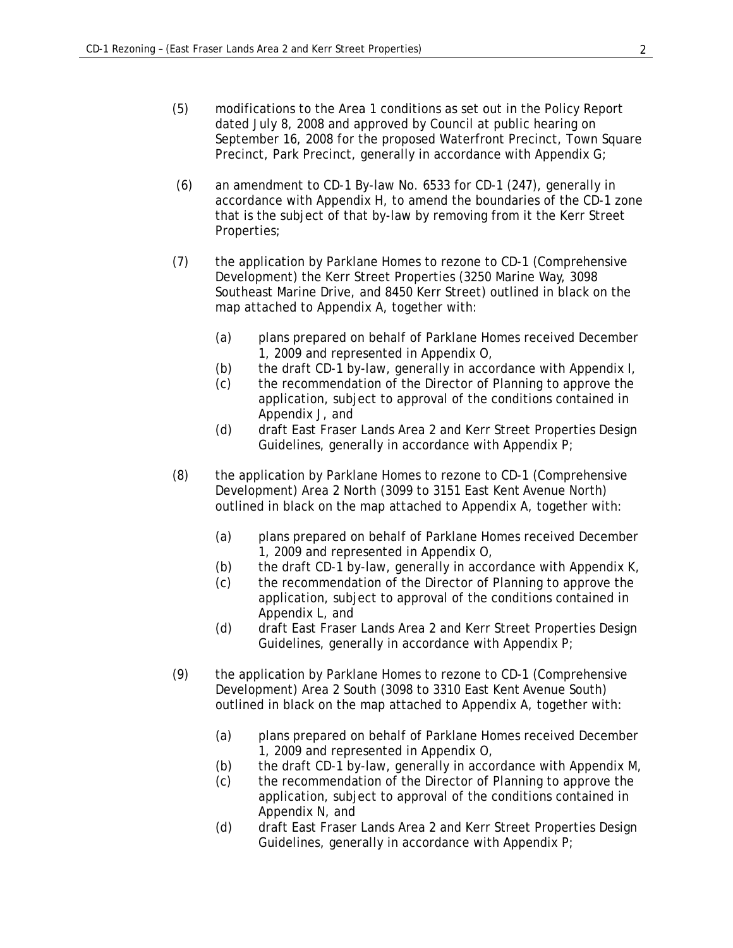- (5) modifications to the Area 1 conditions as set out in the Policy Report dated July 8, 2008 and approved by Council at public hearing on September 16, 2008 for the proposed Waterfront Precinct, Town Square Precinct, Park Precinct, generally in accordance with Appendix G;
- (6) an amendment to CD-1 By-law No. 6533 for CD-1 (247), generally in accordance with Appendix H, to amend the boundaries of the CD-1 zone that is the subject of that by-law by removing from it the Kerr Street Properties;
- (7) the application by Parklane Homes to rezone to CD-1 (Comprehensive Development) the Kerr Street Properties (3250 Marine Way, 3098 Southeast Marine Drive, and 8450 Kerr Street) outlined in black on the map attached to Appendix A, together with:
	- (a) plans prepared on behalf of Parklane Homes received December 1, 2009 and represented in Appendix O,
	- (b) the draft CD-1 by-law, generally in accordance with Appendix I,
	- (c) the recommendation of the Director of Planning to approve the application, subject to approval of the conditions contained in Appendix J, and
	- (d) draft East Fraser Lands Area 2 and Kerr Street Properties Design Guidelines, generally in accordance with Appendix P;
- (8) the application by Parklane Homes to rezone to CD-1 (Comprehensive Development) Area 2 North (3099 to 3151 East Kent Avenue North) outlined in black on the map attached to Appendix A, together with:
	- (a) plans prepared on behalf of Parklane Homes received December 1, 2009 and represented in Appendix O,
	- (b) the draft CD-1 by-law, generally in accordance with Appendix K,
	- (c) the recommendation of the Director of Planning to approve the application, subject to approval of the conditions contained in Appendix L, and
	- (d) draft East Fraser Lands Area 2 and Kerr Street Properties Design Guidelines, generally in accordance with Appendix P;
- (9) the application by Parklane Homes to rezone to CD-1 (Comprehensive Development) Area 2 South (3098 to 3310 East Kent Avenue South) outlined in black on the map attached to Appendix A, together with:
	- (a) plans prepared on behalf of Parklane Homes received December 1, 2009 and represented in Appendix O,
	- (b) the draft CD-1 by-law, generally in accordance with Appendix M,
	- (c) the recommendation of the Director of Planning to approve the application, subject to approval of the conditions contained in Appendix N, and
	- (d) draft East Fraser Lands Area 2 and Kerr Street Properties Design Guidelines, generally in accordance with Appendix P;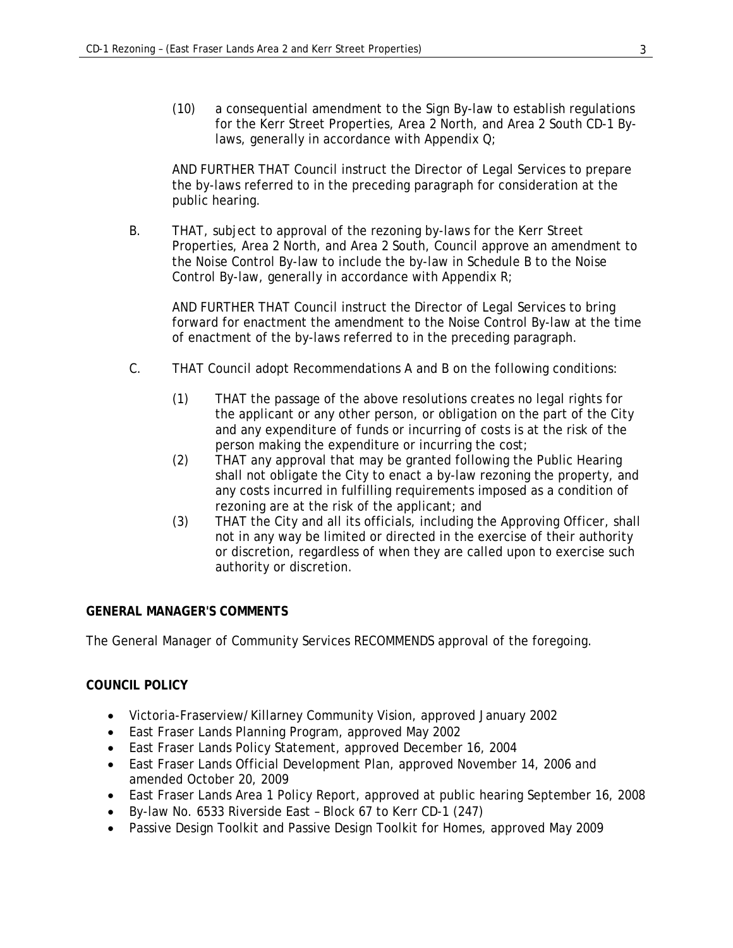(10) a consequential amendment to the Sign By-law to establish regulations for the Kerr Street Properties, Area 2 North, and Area 2 South CD-1 Bylaws, generally in accordance with Appendix Q;

AND FURTHER THAT Council instruct the Director of Legal Services to prepare the by-laws referred to in the preceding paragraph for consideration at the public hearing.

B. THAT, subject to approval of the rezoning by-laws for the Kerr Street Properties, Area 2 North, and Area 2 South, Council approve an amendment to the Noise Control By-law to include the by-law in Schedule B to the Noise Control By-law, generally in accordance with Appendix R;

AND FURTHER THAT Council instruct the Director of Legal Services to bring forward for enactment the amendment to the Noise Control By-law at the time of enactment of the by-laws referred to in the preceding paragraph.

- C. THAT Council adopt Recommendations A and B on the following conditions:
	- (1) THAT the passage of the above resolutions creates no legal rights for the applicant or any other person, or obligation on the part of the City and any expenditure of funds or incurring of costs is at the risk of the person making the expenditure or incurring the cost;
	- (2) THAT any approval that may be granted following the Public Hearing shall not obligate the City to enact a by-law rezoning the property, and any costs incurred in fulfilling requirements imposed as a condition of rezoning are at the risk of the applicant; and
	- (3) THAT the City and all its officials, including the Approving Officer, shall not in any way be limited or directed in the exercise of their authority or discretion, regardless of when they are called upon to exercise such authority or discretion.

#### **GENERAL MANAGER'S COMMENTS**

The General Manager of Community Services RECOMMENDS approval of the foregoing.

#### **COUNCIL POLICY**

- Victoria-Fraserview/Killarney Community Vision, approved January 2002
- East Fraser Lands Planning Program, approved May 2002
- East Fraser Lands Policy Statement, approved December 16, 2004
- East Fraser Lands Official Development Plan, approved November 14, 2006 and amended October 20, 2009
- East Fraser Lands Area 1 Policy Report, approved at public hearing September 16, 2008
- By-law No. 6533 Riverside East Block 67 to Kerr CD-1 (247)
- Passive Design Toolkit and Passive Design Toolkit for Homes, approved May 2009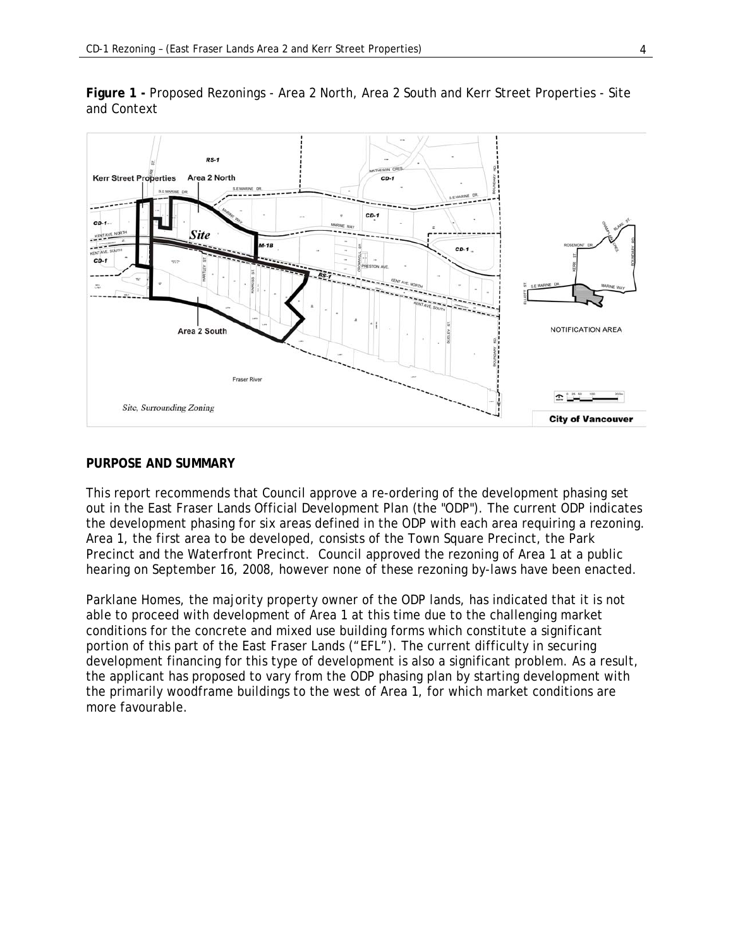

**Figure 1 -** Proposed Rezonings - Area 2 North, Area 2 South and Kerr Street Properties - Site and Context

#### **PURPOSE AND SUMMARY**

This report recommends that Council approve a re-ordering of the development phasing set out in the East Fraser Lands Official Development Plan (the "ODP"). The current ODP indicates the development phasing for six areas defined in the ODP with each area requiring a rezoning. Area 1, the first area to be developed, consists of the Town Square Precinct, the Park Precinct and the Waterfront Precinct. Council approved the rezoning of Area 1 at a public hearing on September 16, 2008, however none of these rezoning by-laws have been enacted.

Parklane Homes, the majority property owner of the ODP lands, has indicated that it is not able to proceed with development of Area 1 at this time due to the challenging market conditions for the concrete and mixed use building forms which constitute a significant portion of this part of the East Fraser Lands ("EFL"). The current difficulty in securing development financing for this type of development is also a significant problem. As a result, the applicant has proposed to vary from the ODP phasing plan by starting development with the primarily woodframe buildings to the west of Area 1, for which market conditions are more favourable.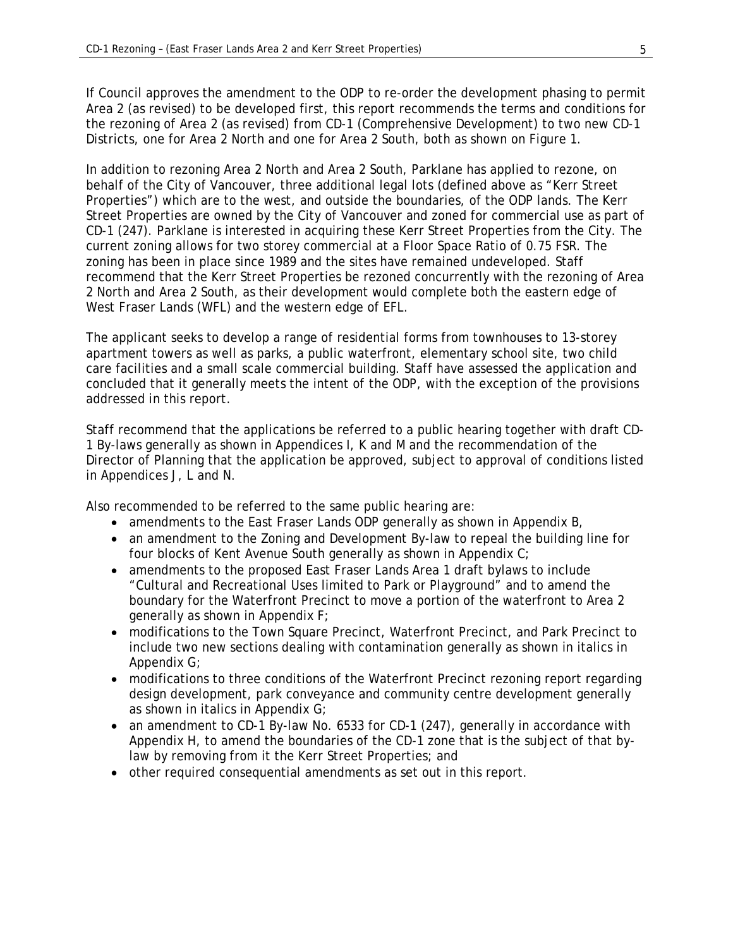If Council approves the amendment to the ODP to re-order the development phasing to permit Area 2 (as revised) to be developed first, this report recommends the terms and conditions for the rezoning of Area 2 (as revised) from CD-1 (Comprehensive Development) to two new CD-1 Districts, one for Area 2 North and one for Area 2 South, both as shown on Figure 1.

In addition to rezoning Area 2 North and Area 2 South, Parklane has applied to rezone, on behalf of the City of Vancouver, three additional legal lots (defined above as "Kerr Street Properties") which are to the west, and outside the boundaries, of the ODP lands. The Kerr Street Properties are owned by the City of Vancouver and zoned for commercial use as part of CD-1 (247). Parklane is interested in acquiring these Kerr Street Properties from the City. The current zoning allows for two storey commercial at a Floor Space Ratio of 0.75 FSR. The zoning has been in place since 1989 and the sites have remained undeveloped. Staff recommend that the Kerr Street Properties be rezoned concurrently with the rezoning of Area 2 North and Area 2 South, as their development would complete both the eastern edge of West Fraser Lands (WFL) and the western edge of EFL.

The applicant seeks to develop a range of residential forms from townhouses to 13-storey apartment towers as well as parks, a public waterfront, elementary school site, two child care facilities and a small scale commercial building. Staff have assessed the application and concluded that it generally meets the intent of the ODP, with the exception of the provisions addressed in this report.

Staff recommend that the applications be referred to a public hearing together with draft CD-1 By-laws generally as shown in Appendices I, K and M and the recommendation of the Director of Planning that the application be approved, subject to approval of conditions listed in Appendices J, L and N.

Also recommended to be referred to the same public hearing are:

- amendments to the East Fraser Lands ODP generally as shown in Appendix B,
- an amendment to the Zoning and Development By-law to repeal the building line for four blocks of Kent Avenue South generally as shown in Appendix C;
- amendments to the proposed East Fraser Lands Area 1 draft bylaws to include "Cultural and Recreational Uses limited to Park or Playground" and to amend the boundary for the Waterfront Precinct to move a portion of the waterfront to Area 2 generally as shown in Appendix F;
- modifications to the Town Square Precinct, Waterfront Precinct, and Park Precinct to include two new sections dealing with contamination generally as shown in italics in Appendix G;
- modifications to three conditions of the Waterfront Precinct rezoning report regarding design development, park conveyance and community centre development generally as shown in italics in Appendix G;
- an amendment to CD-1 By-law No. 6533 for CD-1 (247), generally in accordance with Appendix H, to amend the boundaries of the CD-1 zone that is the subject of that bylaw by removing from it the Kerr Street Properties; and
- other required consequential amendments as set out in this report.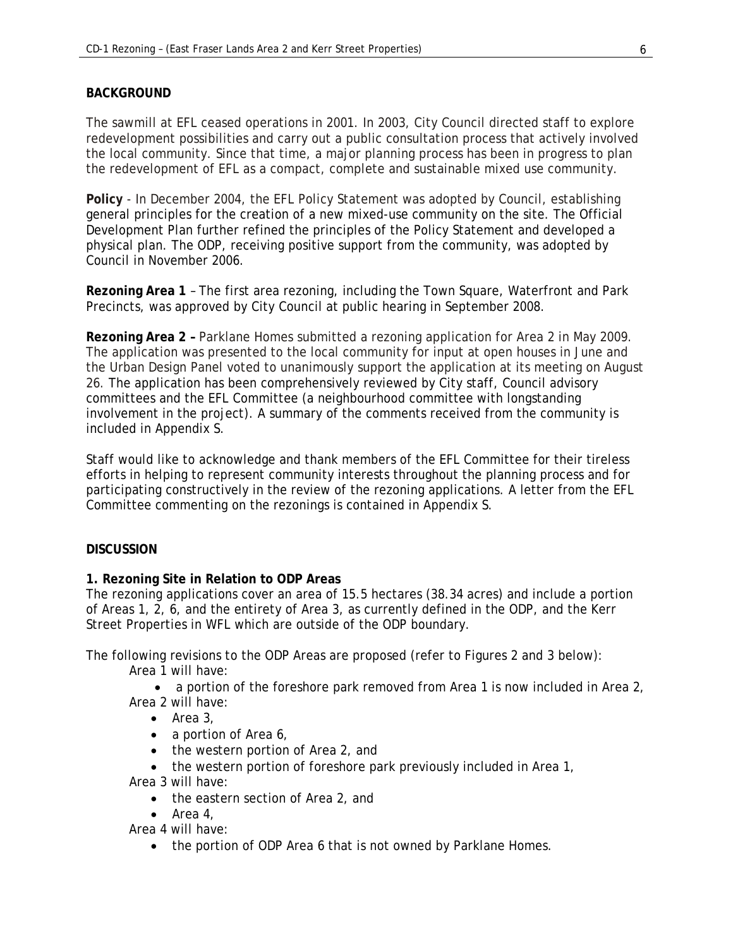#### **BACKGROUND**

The sawmill at EFL ceased operations in 2001. In 2003, City Council directed staff to explore redevelopment possibilities and carry out a public consultation process that actively involved the local community. Since that time, a major planning process has been in progress to plan the redevelopment of EFL as a compact, complete and sustainable mixed use community.

**Policy** - In December 2004, the EFL Policy Statement was adopted by Council, establishing general principles for the creation of a new mixed-use community on the site. The Official Development Plan further refined the principles of the Policy Statement and developed a physical plan. The ODP, receiving positive support from the community, was adopted by Council in November 2006.

**Rezoning Area 1** – The first area rezoning, including the Town Square, Waterfront and Park Precincts, was approved by City Council at public hearing in September 2008.

**Rezoning Area 2 –** Parklane Homes submitted a rezoning application for Area 2 in May 2009. The application was presented to the local community for input at open houses in June and the Urban Design Panel voted to unanimously support the application at its meeting on August 26. The application has been comprehensively reviewed by City staff, Council advisory committees and the EFL Committee (a neighbourhood committee with longstanding involvement in the project). A summary of the comments received from the community is included in Appendix S.

Staff would like to acknowledge and thank members of the EFL Committee for their tireless efforts in helping to represent community interests throughout the planning process and for participating constructively in the review of the rezoning applications. A letter from the EFL Committee commenting on the rezonings is contained in Appendix S.

### **DISCUSSION**

#### **1. Rezoning Site in Relation to ODP Areas**

The rezoning applications cover an area of 15.5 hectares (38.34 acres) and include a portion of Areas 1, 2, 6, and the entirety of Area 3, as currently defined in the ODP, and the Kerr Street Properties in WFL which are outside of the ODP boundary.

The following revisions to the ODP Areas are proposed (refer to Figures 2 and 3 below): Area 1 will have:

- a portion of the foreshore park removed from Area 1 is now included in Area 2, Area 2 will have:
	- Area 3,
	- a portion of Area 6,
	- the western portion of Area 2, and
	- the western portion of foreshore park previously included in Area 1,

Area 3 will have:

- the eastern section of Area 2, and
- Area 4,

Area 4 will have:

• the portion of ODP Area 6 that is not owned by Parklane Homes.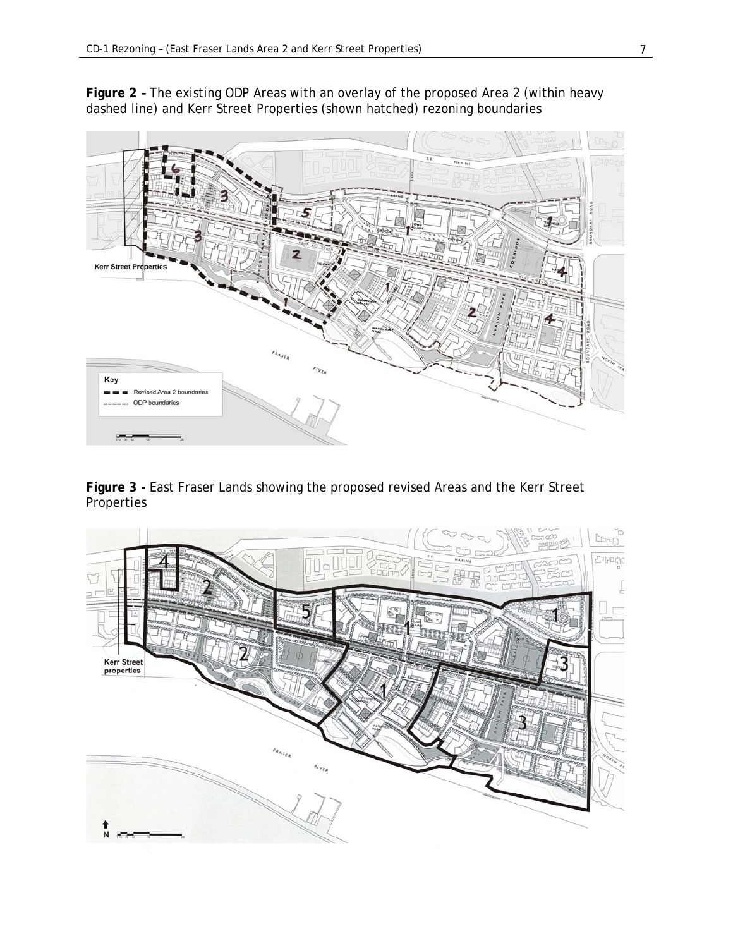**Figure 2 –** The existing ODP Areas with an overlay of the proposed Area 2 (within heavy dashed line) and Kerr Street Properties (shown hatched) rezoning boundaries



**Figure 3 -** East Fraser Lands showing the proposed revised Areas and the Kerr Street Properties

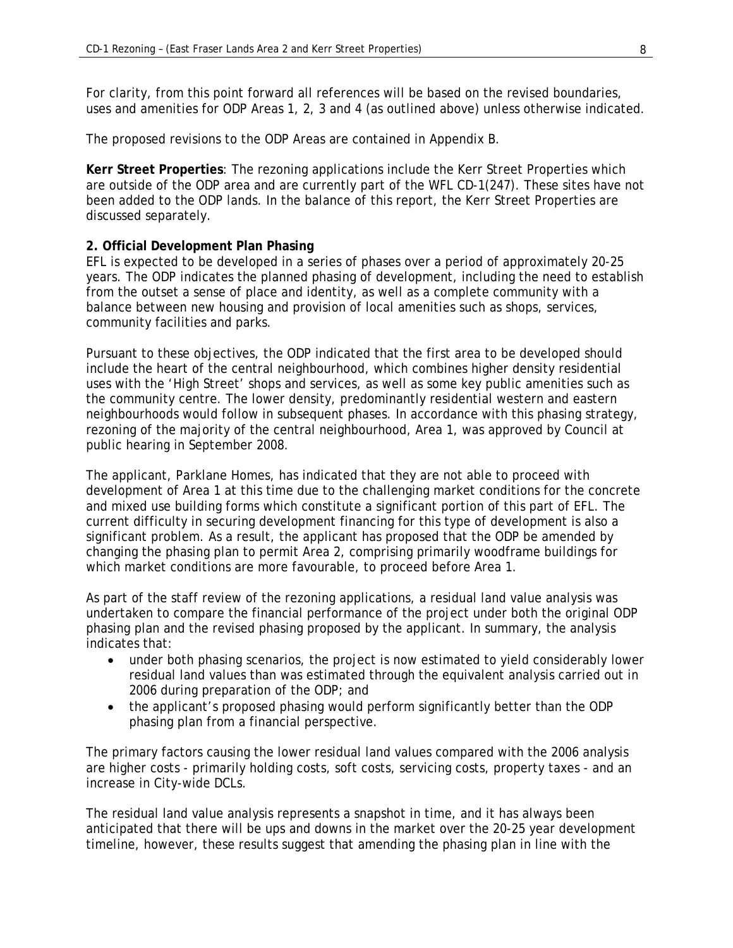For clarity, from this point forward all references will be based on the revised boundaries, uses and amenities for ODP Areas 1, 2, 3 and 4 (as outlined above) unless otherwise indicated.

The proposed revisions to the ODP Areas are contained in Appendix B.

**Kerr Street Properties**: The rezoning applications include the Kerr Street Properties which are outside of the ODP area and are currently part of the WFL CD-1(247). These sites have not been added to the ODP lands. In the balance of this report, the Kerr Street Properties are discussed separately.

#### **2. Official Development Plan Phasing**

EFL is expected to be developed in a series of phases over a period of approximately 20-25 years. The ODP indicates the planned phasing of development, including the need to establish from the outset a sense of place and identity, as well as a complete community with a balance between new housing and provision of local amenities such as shops, services, community facilities and parks.

Pursuant to these objectives, the ODP indicated that the first area to be developed should include the heart of the central neighbourhood, which combines higher density residential uses with the 'High Street' shops and services, as well as some key public amenities such as the community centre. The lower density, predominantly residential western and eastern neighbourhoods would follow in subsequent phases. In accordance with this phasing strategy, rezoning of the majority of the central neighbourhood, Area 1, was approved by Council at public hearing in September 2008.

The applicant, Parklane Homes, has indicated that they are not able to proceed with development of Area 1 at this time due to the challenging market conditions for the concrete and mixed use building forms which constitute a significant portion of this part of EFL. The current difficulty in securing development financing for this type of development is also a significant problem. As a result, the applicant has proposed that the ODP be amended by changing the phasing plan to permit Area 2, comprising primarily woodframe buildings for which market conditions are more favourable, to proceed before Area 1.

As part of the staff review of the rezoning applications, a residual land value analysis was undertaken to compare the financial performance of the project under both the original ODP phasing plan and the revised phasing proposed by the applicant. In summary, the analysis indicates that:

- under both phasing scenarios, the project is now estimated to yield considerably lower residual land values than was estimated through the equivalent analysis carried out in 2006 during preparation of the ODP; and
- the applicant's proposed phasing would perform significantly better than the ODP phasing plan from a financial perspective.

The primary factors causing the lower residual land values compared with the 2006 analysis are higher costs - primarily holding costs, soft costs, servicing costs, property taxes - and an increase in City-wide DCLs.

The residual land value analysis represents a snapshot in time, and it has always been anticipated that there will be ups and downs in the market over the 20-25 year development timeline, however, these results suggest that amending the phasing plan in line with the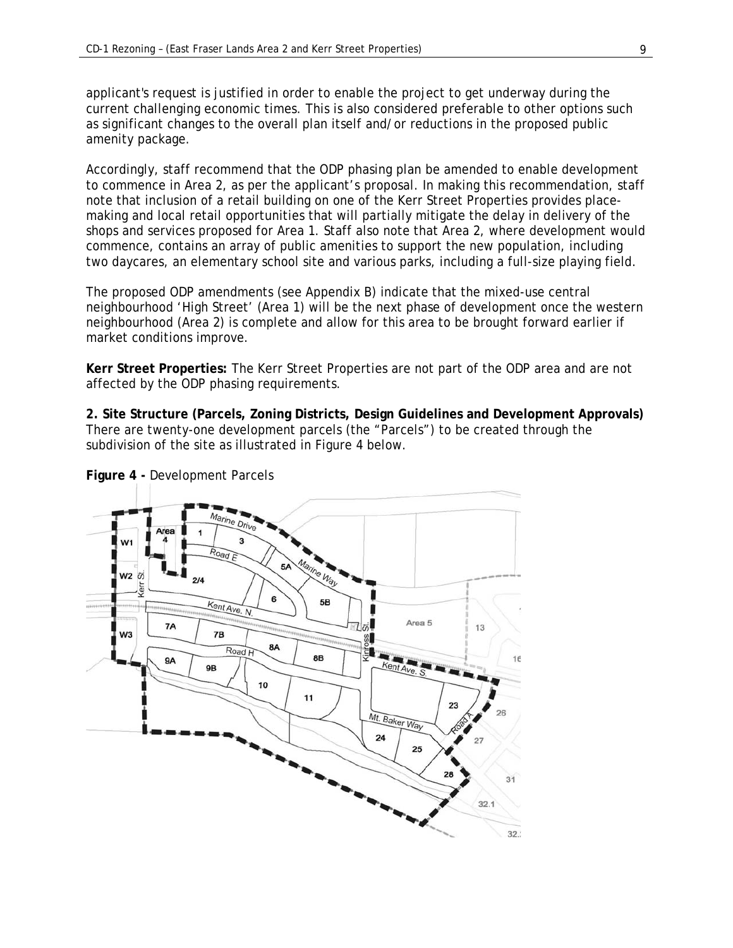applicant's request is justified in order to enable the project to get underway during the current challenging economic times. This is also considered preferable to other options such as significant changes to the overall plan itself and/or reductions in the proposed public amenity package.

Accordingly, staff recommend that the ODP phasing plan be amended to enable development to commence in Area 2, as per the applicant's proposal. In making this recommendation, staff note that inclusion of a retail building on one of the Kerr Street Properties provides placemaking and local retail opportunities that will partially mitigate the delay in delivery of the shops and services proposed for Area 1. Staff also note that Area 2, where development would commence, contains an array of public amenities to support the new population, including two daycares, an elementary school site and various parks, including a full-size playing field.

The proposed ODP amendments (see Appendix B) indicate that the mixed-use central neighbourhood 'High Street' (Area 1) will be the next phase of development once the western neighbourhood (Area 2) is complete and allow for this area to be brought forward earlier if market conditions improve.

**Kerr Street Properties:** The Kerr Street Properties are not part of the ODP area and are not affected by the ODP phasing requirements.

**2. Site Structure (Parcels, Zoning Districts, Design Guidelines and Development Approvals)**  There are twenty-one development parcels (the "Parcels") to be created through the subdivision of the site as illustrated in Figure 4 below.



**Figure 4 -** Development Parcels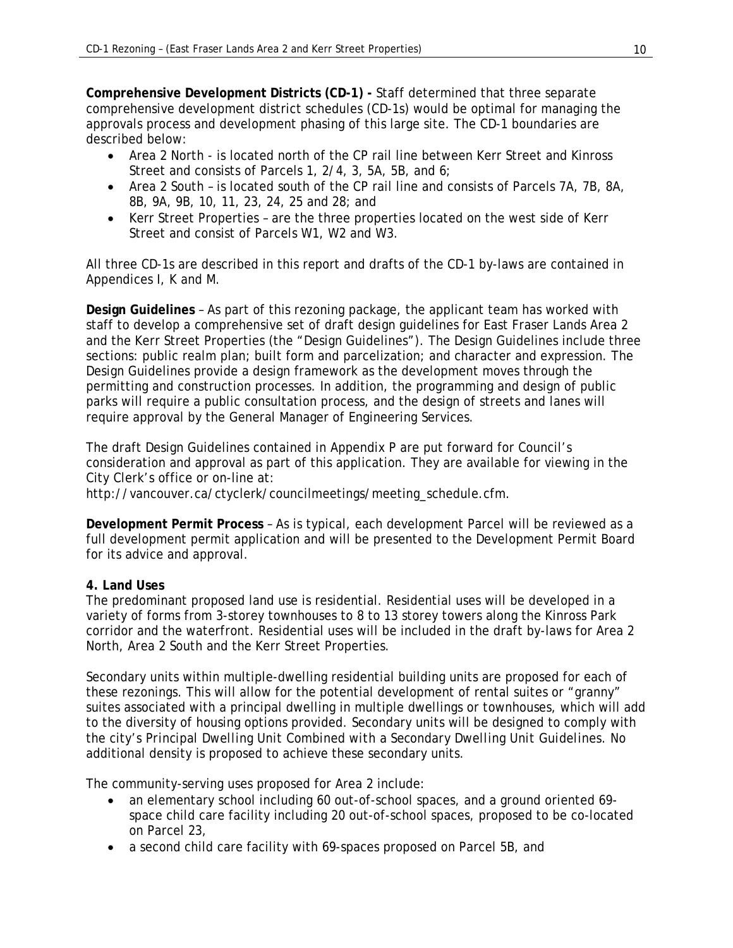**Comprehensive Development Districts (CD-1) -** Staff determined that three separate comprehensive development district schedules (CD-1s) would be optimal for managing the approvals process and development phasing of this large site. The CD-1 boundaries are described below:

- Area 2 North is located north of the CP rail line between Kerr Street and Kinross Street and consists of Parcels 1, 2/4, 3, 5A, 5B, and 6;
- Area 2 South is located south of the CP rail line and consists of Parcels 7A, 7B, 8A, 8B, 9A, 9B, 10, 11, 23, 24, 25 and 28; and
- Kerr Street Properties are the three properties located on the west side of Kerr Street and consist of Parcels W1, W2 and W3.

All three CD-1s are described in this report and drafts of the CD-1 by-laws are contained in Appendices I, K and M.

**Design Guidelines** – As part of this rezoning package, the applicant team has worked with staff to develop a comprehensive set of draft design guidelines for East Fraser Lands Area 2 and the Kerr Street Properties (the "Design Guidelines"). The Design Guidelines include three sections: public realm plan; built form and parcelization; and character and expression. The Design Guidelines provide a design framework as the development moves through the permitting and construction processes. In addition, the programming and design of public parks will require a public consultation process, and the design of streets and lanes will require approval by the General Manager of Engineering Services.

The draft Design Guidelines contained in Appendix P are put forward for Council's consideration and approval as part of this application. They are available for viewing in the City Clerk's office or on-line at:

http://vancouver.ca/ctyclerk/councilmeetings/meeting\_schedule.cfm.

**Development Permit Process** – As is typical, each development Parcel will be reviewed as a full development permit application and will be presented to the Development Permit Board for its advice and approval.

### **4. Land Uses**

The predominant proposed land use is residential. Residential uses will be developed in a variety of forms from 3-storey townhouses to 8 to 13 storey towers along the Kinross Park corridor and the waterfront. Residential uses will be included in the draft by-laws for Area 2 North, Area 2 South and the Kerr Street Properties.

Secondary units within multiple-dwelling residential building units are proposed for each of these rezonings. This will allow for the potential development of rental suites or "granny" suites associated with a principal dwelling in multiple dwellings or townhouses, which will add to the diversity of housing options provided. Secondary units will be designed to comply with the city's *Principal Dwelling Unit Combined with a Secondary Dwelling Unit Guidelines*. No additional density is proposed to achieve these secondary units.

The community-serving uses proposed for Area 2 include:

- an elementary school including 60 out-of-school spaces, and a ground oriented 69 space child care facility including 20 out-of-school spaces, proposed to be co-located on Parcel 23,
- a second child care facility with 69-spaces proposed on Parcel 5B, and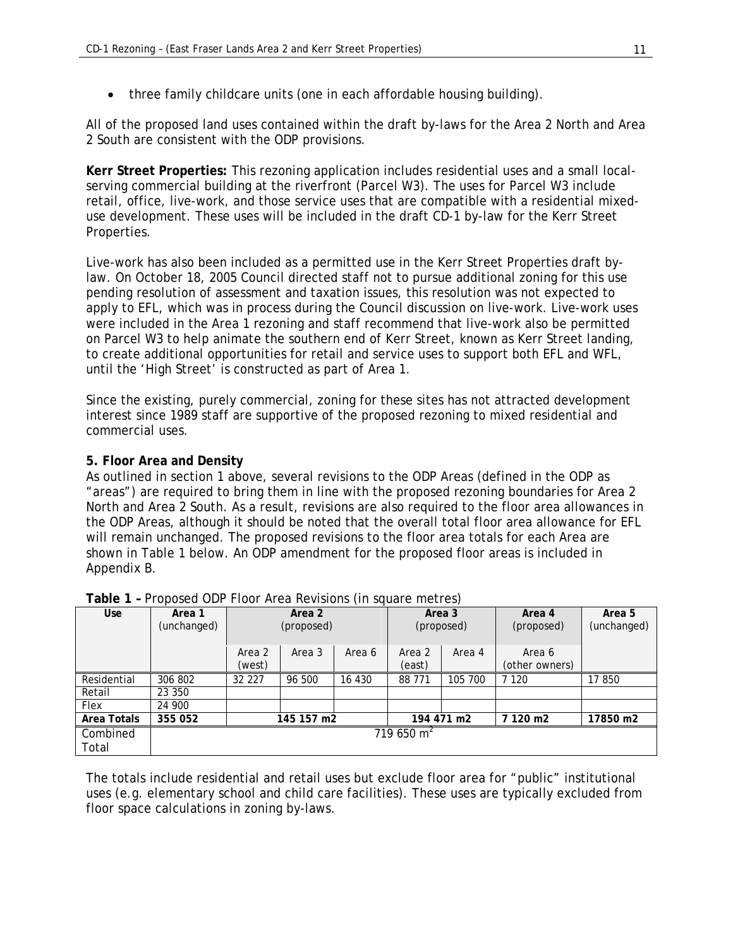• three family childcare units (one in each affordable housing building).

All of the proposed land uses contained within the draft by-laws for the Area 2 North and Area 2 South are consistent with the ODP provisions.

**Kerr Street Properties:** This rezoning application includes residential uses and a small localserving commercial building at the riverfront (Parcel W3). The uses for Parcel W3 include retail, office, live-work, and those service uses that are compatible with a residential mixeduse development. These uses will be included in the draft CD-1 by-law for the Kerr Street Properties.

Live-work has also been included as a permitted use in the Kerr Street Properties draft bylaw. On October 18, 2005 Council directed staff not to pursue additional zoning for this use pending resolution of assessment and taxation issues, this resolution was not expected to apply to EFL, which was in process during the Council discussion on live-work. Live-work uses were included in the Area 1 rezoning and staff recommend that live-work also be permitted on Parcel W3 to help animate the southern end of Kerr Street, known as Kerr Street landing, to create additional opportunities for retail and service uses to support both EFL and WFL, until the 'High Street' is constructed as part of Area 1.

Since the existing, purely commercial, zoning for these sites has not attracted development interest since 1989 staff are supportive of the proposed rezoning to mixed residential and commercial uses.

#### **5. Floor Area and Density**

As outlined in section 1 above, several revisions to the ODP Areas (defined in the ODP as "areas") are required to bring them in line with the proposed rezoning boundaries for Area 2 North and Area 2 South. As a result, revisions are also required to the floor area allowances in the ODP Areas, although it should be noted that the overall total floor area allowance for EFL will remain unchanged. The proposed revisions to the floor area totals for each Area are shown in Table 1 below. An ODP amendment for the proposed floor areas is included in Appendix B.

| <b>Use</b>  | Area 1      |                        | Area 2     |        |        | Area 3     | Area 4         | Area 5      |
|-------------|-------------|------------------------|------------|--------|--------|------------|----------------|-------------|
|             | (unchanged) |                        | (proposed) |        |        | (proposed) | (proposed)     | (unchanged) |
|             |             |                        |            |        |        |            |                |             |
|             |             | Area 2                 | Area 3     | Area 6 | Area 2 | Area 4     | Area 6         |             |
|             |             | (west)                 |            |        | (east) |            | (other owners) |             |
| Residential | 306 802     | 32 227                 | 96 500     | 16 430 | 88 771 | 105 700    | 7 1 2 0        | 17850       |
| Retail      | 23 350      |                        |            |        |        |            |                |             |
| Flex        | 24 900      |                        |            |        |        |            |                |             |
| Area Totals | 355 052     |                        | 145 157 m2 |        |        | 194 471 m2 | 7 120 m2       | 17850 m2    |
| Combined    |             | 719 650 m <sup>2</sup> |            |        |        |            |                |             |
| Total       |             |                        |            |        |        |            |                |             |

#### **Table 1 –** Proposed ODP Floor Area Revisions (in square metres)

The totals include residential and retail uses but exclude floor area for "public" institutional uses (e.g. elementary school and child care facilities). These uses are typically excluded from floor space calculations in zoning by-laws.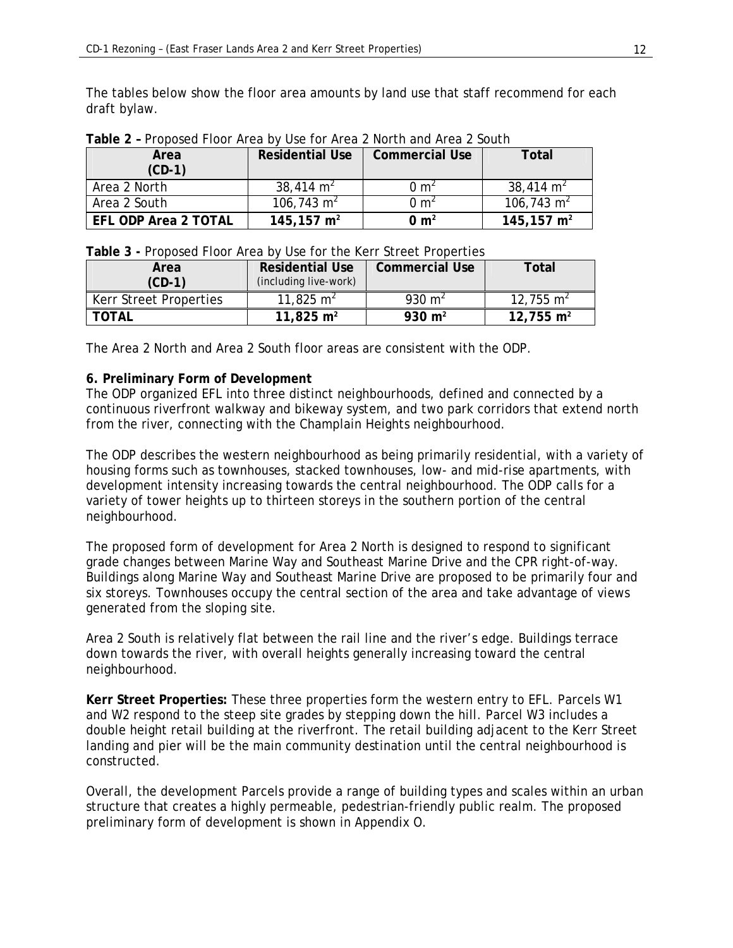The tables below show the floor area amounts by land use that staff recommend for each draft bylaw.

| Area<br>$(CD-1)$            | <b>Residential Use</b>    | Commercial Use   | Total                     |
|-----------------------------|---------------------------|------------------|---------------------------|
| Area 2 North                | $38.414 \text{ m}^2$      | 0 m <sup>2</sup> | 38.414 $m2$               |
| Area 2 South                | 106,743 $m2$              | $0 \mathsf{m}^2$ | 106,743 m <sup>2</sup>    |
| <b>EFL ODP Area 2 TOTAL</b> | $145, 157$ m <sup>2</sup> | $0 \text{ m}^2$  | $145, 157$ m <sup>2</sup> |

**Table 2 –** Proposed Floor Area by Use for Area 2 North and Area 2 South

| Table 3 - Proposed Floor Area by Use for the Kerr Street Properties |  |  |  |  |
|---------------------------------------------------------------------|--|--|--|--|
|                                                                     |  |  |  |  |

| Area<br>$(CD-1)$       | <b>Residential Use</b><br>(including live-work) | <b>Commercial Use</b> | Total                 |
|------------------------|-------------------------------------------------|-----------------------|-----------------------|
| Kerr Street Properties | 11,825 m <sup>2</sup>                           | 930 m <sup>2</sup>    | 12,755 m <sup>2</sup> |
| <b>TOTAL</b>           | 11,825 $m2$                                     | 930 $m2$              | 12,755 $m2$           |

The Area 2 North and Area 2 South floor areas are consistent with the ODP.

## **6. Preliminary Form of Development**

The ODP organized EFL into three distinct neighbourhoods, defined and connected by a continuous riverfront walkway and bikeway system, and two park corridors that extend north from the river, connecting with the Champlain Heights neighbourhood.

The ODP describes the western neighbourhood as being primarily residential, with a variety of housing forms such as townhouses, stacked townhouses, low- and mid-rise apartments, with development intensity increasing towards the central neighbourhood. The ODP calls for a variety of tower heights up to thirteen storeys in the southern portion of the central neighbourhood.

The proposed form of development for Area 2 North is designed to respond to significant grade changes between Marine Way and Southeast Marine Drive and the CPR right-of-way. Buildings along Marine Way and Southeast Marine Drive are proposed to be primarily four and six storeys. Townhouses occupy the central section of the area and take advantage of views generated from the sloping site.

Area 2 South is relatively flat between the rail line and the river's edge. Buildings terrace down towards the river, with overall heights generally increasing toward the central neighbourhood.

**Kerr Street Properties:** These three properties form the western entry to EFL. Parcels W1 and W2 respond to the steep site grades by stepping down the hill. Parcel W3 includes a double height retail building at the riverfront. The retail building adjacent to the Kerr Street landing and pier will be the main community destination until the central neighbourhood is constructed.

Overall, the development Parcels provide a range of building types and scales within an urban structure that creates a highly permeable, pedestrian-friendly public realm. The proposed preliminary form of development is shown in Appendix O.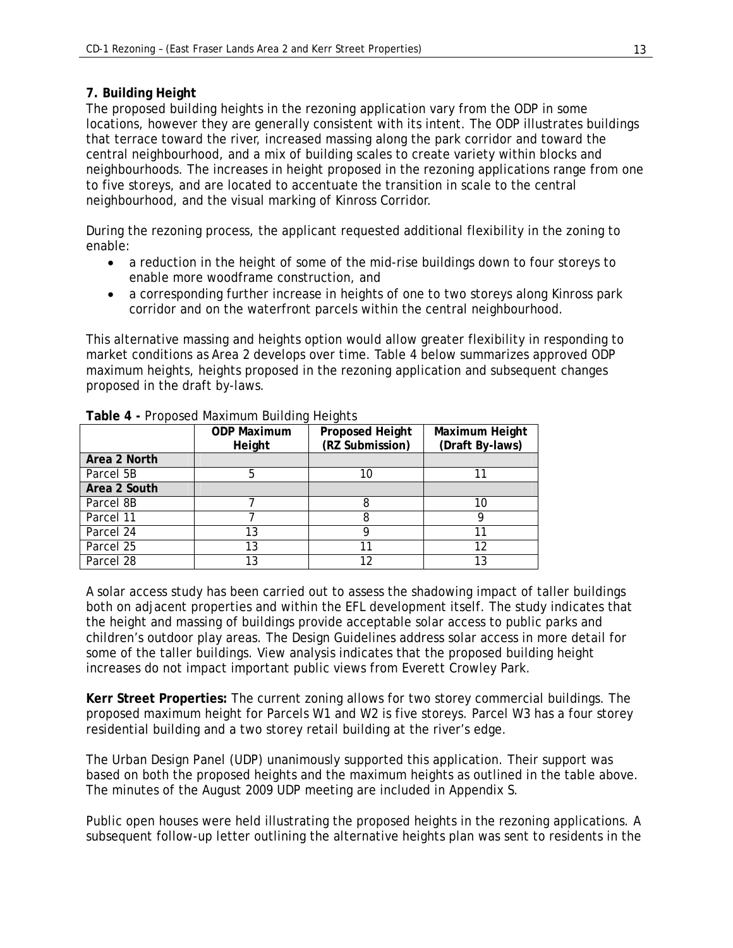### **7. Building Height**

The proposed building heights in the rezoning application vary from the ODP in some locations, however they are generally consistent with its intent. The ODP illustrates buildings that terrace toward the river, increased massing along the park corridor and toward the central neighbourhood, and a mix of building scales to create variety within blocks and neighbourhoods. The increases in height proposed in the rezoning applications range from one to five storeys, and are located to accentuate the transition in scale to the central neighbourhood, and the visual marking of Kinross Corridor.

During the rezoning process, the applicant requested additional flexibility in the zoning to enable:

- a reduction in the height of some of the mid-rise buildings down to four storeys to enable more woodframe construction, and
- a corresponding further increase in heights of one to two storeys along Kinross park corridor and on the waterfront parcels within the central neighbourhood.

This alternative massing and heights option would allow greater flexibility in responding to market conditions as Area 2 develops over time. Table 4 below summarizes approved ODP maximum heights, heights proposed in the rezoning application and subsequent changes proposed in the draft by-laws.

| <b>Table + Troposed Maximum Bunding Heights</b> |                    |                        |                 |  |
|-------------------------------------------------|--------------------|------------------------|-----------------|--|
|                                                 | <b>ODP Maximum</b> | <b>Proposed Height</b> | Maximum Height  |  |
|                                                 | Height             | (RZ Submission)        | (Draft By-laws) |  |
| Area 2 North                                    |                    |                        |                 |  |
| Parcel 5B                                       | 5                  | 10                     |                 |  |
| Area 2 South                                    |                    |                        |                 |  |
| Parcel 8B                                       |                    |                        |                 |  |
| Parcel 11                                       |                    |                        |                 |  |
| Parcel 24                                       | 13                 |                        |                 |  |
| Parcel 25                                       | 13                 |                        | 12              |  |
| Parcel 28                                       | 13                 |                        | 13              |  |

**Table 4 -** Proposed Maximum Building Heights

A solar access study has been carried out to assess the shadowing impact of taller buildings both on adjacent properties and within the EFL development itself. The study indicates that the height and massing of buildings provide acceptable solar access to public parks and children's outdoor play areas. The Design Guidelines address solar access in more detail for some of the taller buildings. View analysis indicates that the proposed building height increases do not impact important public views from Everett Crowley Park.

**Kerr Street Properties:** The current zoning allows for two storey commercial buildings. The proposed maximum height for Parcels W1 and W2 is five storeys. Parcel W3 has a four storey residential building and a two storey retail building at the river's edge.

The Urban Design Panel (UDP) unanimously supported this application. Their support was based on both the proposed heights and the maximum heights as outlined in the table above. The minutes of the August 2009 UDP meeting are included in Appendix S.

Public open houses were held illustrating the proposed heights in the rezoning applications. A subsequent follow-up letter outlining the alternative heights plan was sent to residents in the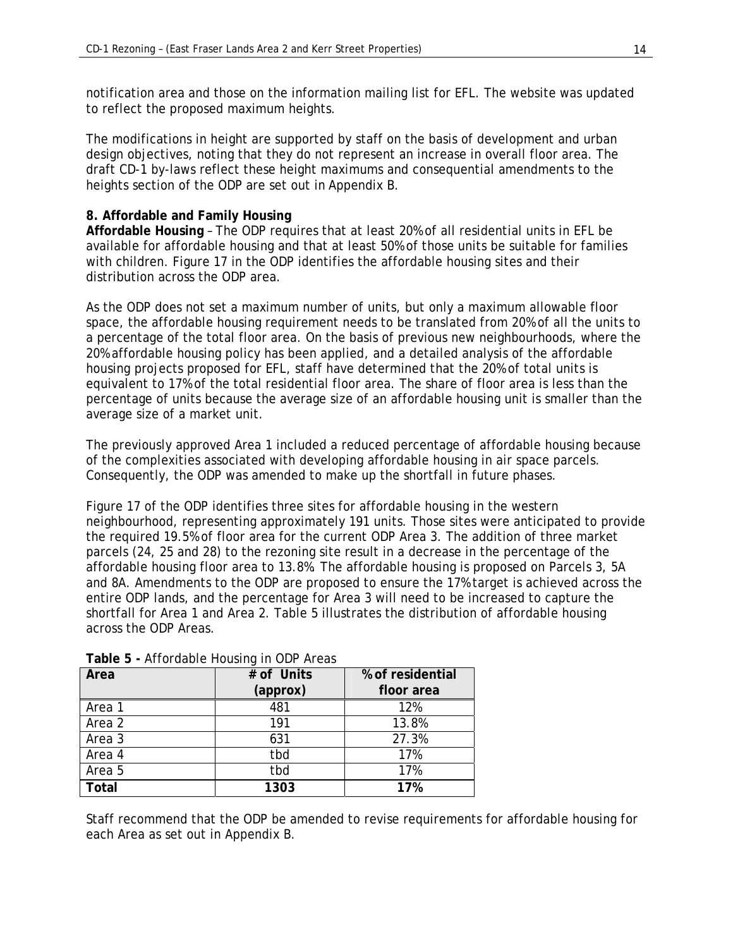notification area and those on the information mailing list for EFL. The website was updated to reflect the proposed maximum heights.

The modifications in height are supported by staff on the basis of development and urban design objectives, noting that they do not represent an increase in overall floor area. The draft CD-1 by-laws reflect these height maximums and consequential amendments to the heights section of the ODP are set out in Appendix B.

#### **8. Affordable and Family Housing**

**Affordable Housing** – The ODP requires that at least 20% of all residential units in EFL be available for affordable housing and that at least 50% of those units be suitable for families with children. Figure 17 in the ODP identifies the affordable housing sites and their distribution across the ODP area.

As the ODP does not set a maximum number of units, but only a maximum allowable floor space, the affordable housing requirement needs to be translated from 20% of all the units to a percentage of the total floor area. On the basis of previous new neighbourhoods, where the 20% affordable housing policy has been applied, and a detailed analysis of the affordable housing projects proposed for EFL, staff have determined that the 20% of total units is equivalent to 17% of the total residential floor area. The share of floor area is less than the percentage of units because the average size of an affordable housing unit is smaller than the average size of a market unit.

The previously approved Area 1 included a reduced percentage of affordable housing because of the complexities associated with developing affordable housing in air space parcels. Consequently, the ODP was amended to make up the shortfall in future phases.

Figure 17 of the ODP identifies three sites for affordable housing in the western neighbourhood, representing approximately 191 units. Those sites were anticipated to provide the required 19.5% of floor area for the current ODP Area 3. The addition of three market parcels (24, 25 and 28) to the rezoning site result in a decrease in the percentage of the affordable housing floor area to 13.8%. The affordable housing is proposed on Parcels 3, 5A and 8A. Amendments to the ODP are proposed to ensure the 17% target is achieved across the entire ODP lands, and the percentage for Area 3 will need to be increased to capture the shortfall for Area 1 and Area 2. Table 5 illustrates the distribution of affordable housing across the ODP Areas.

| Area   | # of Units | % of residential |
|--------|------------|------------------|
|        | (approx)   | floor area       |
| Area 1 | 481        | 12%              |
| Area 2 | 191        | 13.8%            |
| Area 3 | 631        | 27.3%            |
| Area 4 | tbd        | 17%              |
| Area 5 | tbd        | 17%              |
| Total  | 1303       | 17%              |

**Table 5 -** Affordable Housing in ODP Areas

Staff recommend that the ODP be amended to revise requirements for affordable housing for each Area as set out in Appendix B.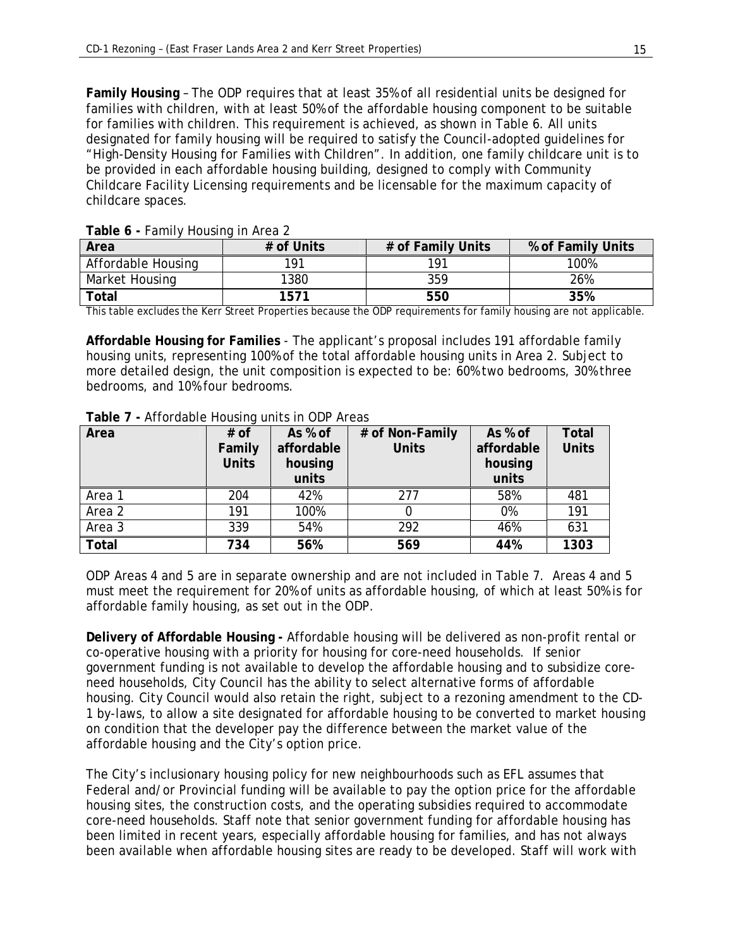**Family Housing** – The ODP requires that at least 35% of all residential units be designed for families with children, with at least 50% of the affordable housing component to be suitable for families with children. This requirement is achieved, as shown in Table 6. All units designated for family housing will be required to satisfy the Council-adopted guidelines for "High-Density Housing for Families with Children". In addition, one family childcare unit is to be provided in each affordable housing building, designed to comply with Community Childcare Facility Licensing requirements and be licensable for the maximum capacity of childcare spaces.

| Area               | # of Units | # of Family Units | % of Family Units |
|--------------------|------------|-------------------|-------------------|
| Affordable Housing | 191        | 191               | 100%              |
| Market Housing     | 1380       | 359               | 26%               |
| <b>Total</b>       | 1571       | 550               | 35%               |

**Table 6 -** Family Housing in Area 2

This table excludes the Kerr Street Properties because the ODP requirements for family housing are not applicable.

**Affordable Housing for Families** - The applicant's proposal includes 191 affordable family housing units, representing 100% of the total affordable housing units in Area 2. Subject to more detailed design, the unit composition is expected to be: 60% two bedrooms, 30% three bedrooms, and 10% four bedrooms.

| Area   | $#$ of       | As % of    | # of Non-Family | As % of    | Total        |
|--------|--------------|------------|-----------------|------------|--------------|
|        | Family       | affordable | <b>Units</b>    | affordable | <b>Units</b> |
|        | <b>Units</b> | housing    |                 | housing    |              |
|        |              | units      |                 | units      |              |
| Area 1 | 204          | 42%        | 277             | 58%        | 481          |
| Area 2 | 191          | 100%       |                 | 0%         | 191          |
| Area 3 | 339          | 54%        | 292             | 46%        | 631          |
| Total  | 734          | 56%        | 569             | 44%        | 1303         |

**Table 7 -** Affordable Housing units in ODP Areas

ODP Areas 4 and 5 are in separate ownership and are not included in Table 7. Areas 4 and 5 must meet the requirement for 20% of units as affordable housing, of which at least 50% is for affordable family housing, as set out in the ODP.

**Delivery of Affordable Housing -** Affordable housing will be delivered as non-profit rental or co-operative housing with a priority for housing for core-need households. If senior government funding is not available to develop the affordable housing and to subsidize coreneed households, City Council has the ability to select alternative forms of affordable housing. City Council would also retain the right, subject to a rezoning amendment to the CD-1 by-laws, to allow a site designated for affordable housing to be converted to market housing on condition that the developer pay the difference between the market value of the affordable housing and the City's option price.

The City's inclusionary housing policy for new neighbourhoods such as EFL assumes that Federal and/or Provincial funding will be available to pay the option price for the affordable housing sites, the construction costs, and the operating subsidies required to accommodate core-need households. Staff note that senior government funding for affordable housing has been limited in recent years, especially affordable housing for families, and has not always been available when affordable housing sites are ready to be developed. Staff will work with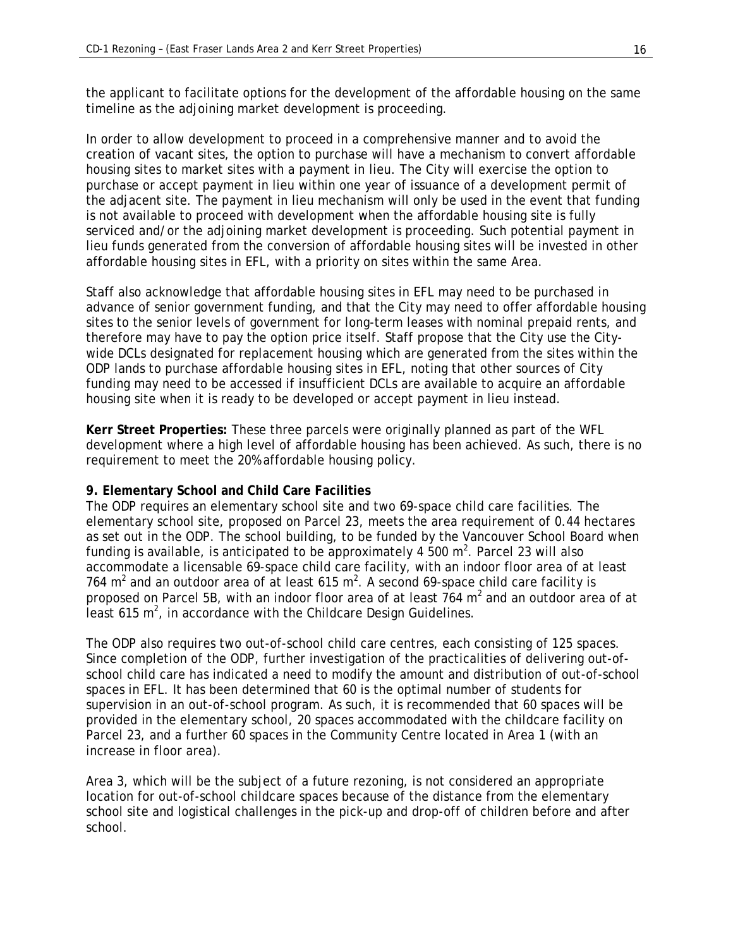the applicant to facilitate options for the development of the affordable housing on the same timeline as the adjoining market development is proceeding.

In order to allow development to proceed in a comprehensive manner and to avoid the creation of vacant sites, the option to purchase will have a mechanism to convert affordable housing sites to market sites with a payment in lieu. The City will exercise the option to purchase or accept payment in lieu within one year of issuance of a development permit of the adjacent site. The payment in lieu mechanism will only be used in the event that funding is not available to proceed with development when the affordable housing site is fully serviced and/or the adjoining market development is proceeding. Such potential payment in lieu funds generated from the conversion of affordable housing sites will be invested in other affordable housing sites in EFL, with a priority on sites within the same Area.

Staff also acknowledge that affordable housing sites in EFL may need to be purchased in advance of senior government funding, and that the City may need to offer affordable housing sites to the senior levels of government for long-term leases with nominal prepaid rents, and therefore may have to pay the option price itself. Staff propose that the City use the Citywide DCLs designated for replacement housing which are generated from the sites within the ODP lands to purchase affordable housing sites in EFL, noting that other sources of City funding may need to be accessed if insufficient DCLs are available to acquire an affordable housing site when it is ready to be developed or accept payment in lieu instead.

**Kerr Street Properties:** These three parcels were originally planned as part of the WFL development where a high level of affordable housing has been achieved. As such, there is no requirement to meet the 20% affordable housing policy.

#### **9. Elementary School and Child Care Facilities**

The ODP requires an elementary school site and two 69-space child care facilities. The elementary school site, proposed on Parcel 23, meets the area requirement of 0.44 hectares as set out in the ODP. The school building, to be funded by the Vancouver School Board when funding is available, is anticipated to be approximately 4  $500$  m<sup>2</sup>. Parcel 23 will also accommodate a licensable 69-space child care facility, with an indoor floor area of at least 764 m<sup>2</sup> and an outdoor area of at least 615 m<sup>2</sup>. A second 69-space child care facility is proposed on Parcel 5B, with an indoor floor area of at least  $764 \text{ m}^2$  and an outdoor area of at least 615  $m^2$ , in accordance with the Childcare Design Guidelines.

The ODP also requires two out-of-school child care centres, each consisting of 125 spaces. Since completion of the ODP, further investigation of the practicalities of delivering out-ofschool child care has indicated a need to modify the amount and distribution of out-of-school spaces in EFL. It has been determined that 60 is the optimal number of students for supervision in an out-of-school program. As such, it is recommended that 60 spaces will be provided in the elementary school, 20 spaces accommodated with the childcare facility on Parcel 23, and a further 60 spaces in the Community Centre located in Area 1 (with an increase in floor area).

Area 3, which will be the subject of a future rezoning, is not considered an appropriate location for out-of-school childcare spaces because of the distance from the elementary school site and logistical challenges in the pick-up and drop-off of children before and after school.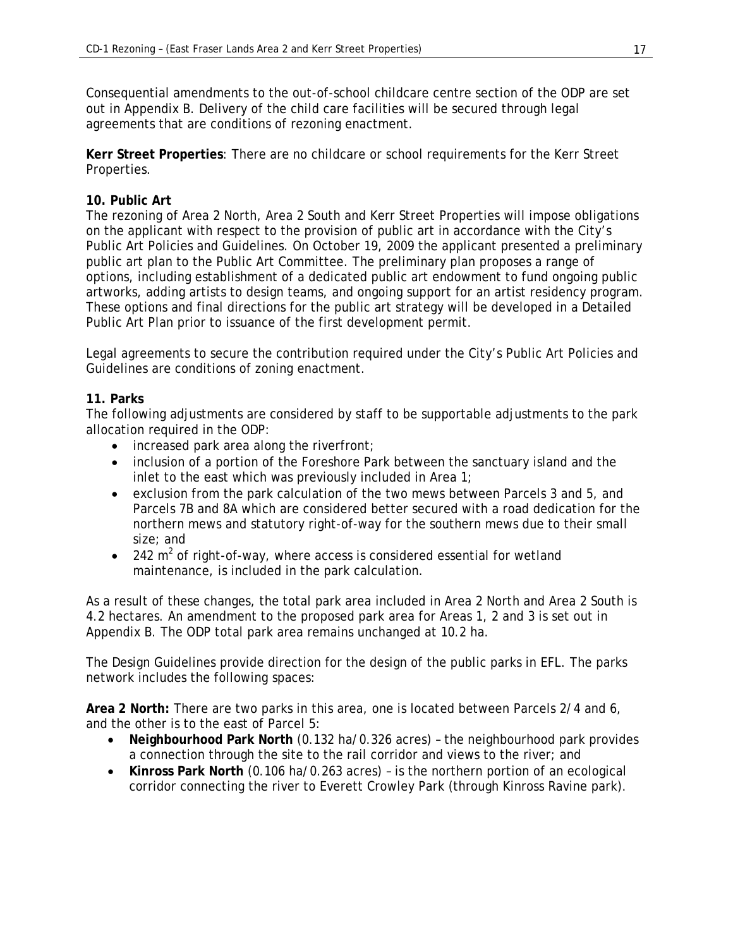Consequential amendments to the out-of-school childcare centre section of the ODP are set out in Appendix B. Delivery of the child care facilities will be secured through legal agreements that are conditions of rezoning enactment.

**Kerr Street Properties**: There are no childcare or school requirements for the Kerr Street Properties.

## **10. Public Art**

The rezoning of Area 2 North, Area 2 South and Kerr Street Properties will impose obligations on the applicant with respect to the provision of public art in accordance with the City's Public Art Policies and Guidelines. On October 19, 2009 the applicant presented a preliminary public art plan to the Public Art Committee. The preliminary plan proposes a range of options, including establishment of a dedicated public art endowment to fund ongoing public artworks, adding artists to design teams, and ongoing support for an artist residency program. These options and final directions for the public art strategy will be developed in a Detailed Public Art Plan prior to issuance of the first development permit.

Legal agreements to secure the contribution required under the City's Public Art Policies and Guidelines are conditions of zoning enactment.

### **11. Parks**

The following adjustments are considered by staff to be supportable adjustments to the park allocation required in the ODP:

- increased park area along the riverfront;
- inclusion of a portion of the Foreshore Park between the sanctuary island and the inlet to the east which was previously included in Area 1;
- exclusion from the park calculation of the two mews between Parcels 3 and 5, and Parcels 7B and 8A which are considered better secured with a road dedication for the northern mews and statutory right-of-way for the southern mews due to their small size; and
- 242  $m^2$  of right-of-way, where access is considered essential for wetland maintenance, is included in the park calculation.

As a result of these changes, the total park area included in Area 2 North and Area 2 South is 4.2 hectares. An amendment to the proposed park area for Areas 1, 2 and 3 is set out in Appendix B. The ODP total park area remains unchanged at 10.2 ha.

The Design Guidelines provide direction for the design of the public parks in EFL. The parks network includes the following spaces:

**Area 2 North:** There are two parks in this area, one is located between Parcels 2/4 and 6, and the other is to the east of Parcel 5:

- **Neighbourhood Park North** (0.132 ha/0.326 acres) the neighbourhood park provides a connection through the site to the rail corridor and views to the river; and
- **Kinross Park North** (0.106 ha/0.263 acres) is the northern portion of an ecological corridor connecting the river to Everett Crowley Park (through Kinross Ravine park).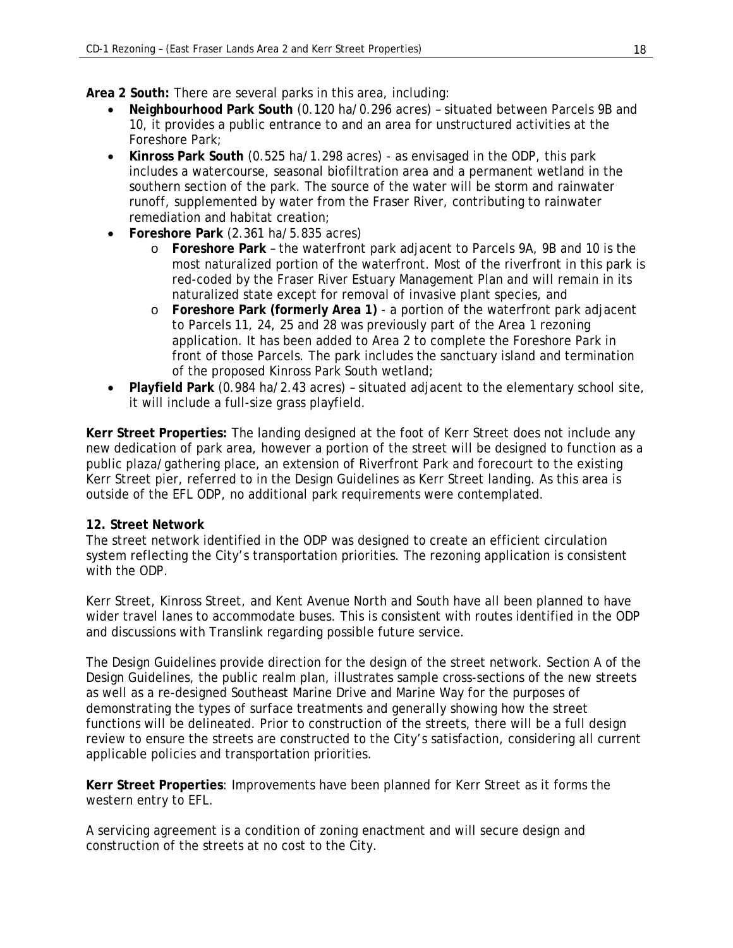**Area 2 South:** There are several parks in this area, including:

- **Neighbourhood Park South** (0.120 ha/0.296 acres) situated between Parcels 9B and 10, it provides a public entrance to and an area for unstructured activities at the Foreshore Park;
- **Kinross Park South** (0.525 ha/1.298 acres) as envisaged in the ODP, this park includes a watercourse, seasonal biofiltration area and a permanent wetland in the southern section of the park. The source of the water will be storm and rainwater runoff, supplemented by water from the Fraser River, contributing to rainwater remediation and habitat creation;
- **Foreshore Park** (2.361 ha/5.835 acres)
	- o **Foreshore Park** the waterfront park adjacent to Parcels 9A, 9B and 10 is the most naturalized portion of the waterfront. Most of the riverfront in this park is red-coded by the Fraser River Estuary Management Plan and will remain in its naturalized state except for removal of invasive plant species, and
	- o **Foreshore Park (formerly Area 1)** a portion of the waterfront park adjacent to Parcels 11, 24, 25 and 28 was previously part of the Area 1 rezoning application. It has been added to Area 2 to complete the Foreshore Park in front of those Parcels. The park includes the sanctuary island and termination of the proposed Kinross Park South wetland;
- **Playfield Park** (0.984 ha/2.43 acres) situated adjacent to the elementary school site, it will include a full-size grass playfield.

**Kerr Street Properties:** The landing designed at the foot of Kerr Street does not include any new dedication of park area, however a portion of the street will be designed to function as a public plaza/gathering place, an extension of Riverfront Park and forecourt to the existing Kerr Street pier, referred to in the Design Guidelines as Kerr Street landing. As this area is outside of the EFL ODP, no additional park requirements were contemplated.

### **12. Street Network**

The street network identified in the ODP was designed to create an efficient circulation system reflecting the City's transportation priorities. The rezoning application is consistent with the ODP.

Kerr Street, Kinross Street, and Kent Avenue North and South have all been planned to have wider travel lanes to accommodate buses. This is consistent with routes identified in the ODP and discussions with Translink regarding possible future service.

The Design Guidelines provide direction for the design of the street network. Section A of the Design Guidelines, the public realm plan, illustrates sample cross-sections of the new streets as well as a re-designed Southeast Marine Drive and Marine Way for the purposes of demonstrating the types of surface treatments and generally showing how the street functions will be delineated. Prior to construction of the streets, there will be a full design review to ensure the streets are constructed to the City's satisfaction, considering all current applicable policies and transportation priorities.

**Kerr Street Properties**: Improvements have been planned for Kerr Street as it forms the western entry to EFL.

A servicing agreement is a condition of zoning enactment and will secure design and construction of the streets at no cost to the City.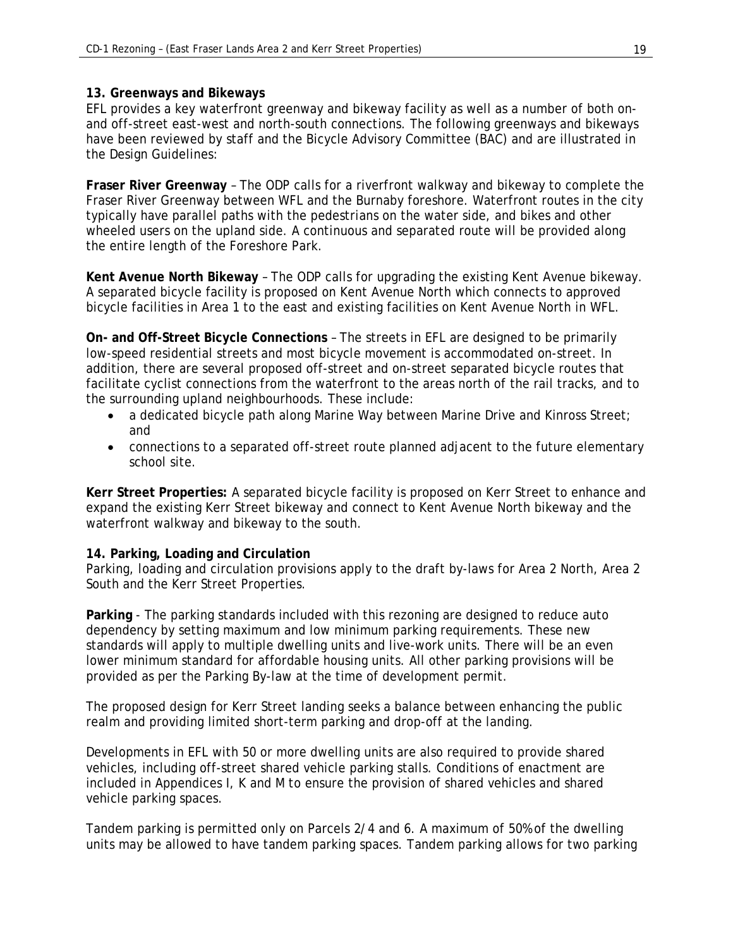### **13. Greenways and Bikeways**

EFL provides a key waterfront greenway and bikeway facility as well as a number of both onand off-street east-west and north-south connections. The following greenways and bikeways have been reviewed by staff and the Bicycle Advisory Committee (BAC) and are illustrated in the Design Guidelines:

**Fraser River Greenway** – The ODP calls for a riverfront walkway and bikeway to complete the Fraser River Greenway between WFL and the Burnaby foreshore. Waterfront routes in the city typically have parallel paths with the pedestrians on the water side, and bikes and other wheeled users on the upland side. A continuous and separated route will be provided along the entire length of the Foreshore Park.

**Kent Avenue North Bikeway** – The ODP calls for upgrading the existing Kent Avenue bikeway. A separated bicycle facility is proposed on Kent Avenue North which connects to approved bicycle facilities in Area 1 to the east and existing facilities on Kent Avenue North in WFL.

**On- and Off-Street Bicycle Connections** – The streets in EFL are designed to be primarily low-speed residential streets and most bicycle movement is accommodated on-street. In addition, there are several proposed off-street and on-street separated bicycle routes that facilitate cyclist connections from the waterfront to the areas north of the rail tracks, and to the surrounding upland neighbourhoods. These include:

- a dedicated bicycle path along Marine Way between Marine Drive and Kinross Street; and
- connections to a separated off-street route planned adjacent to the future elementary school site.

**Kerr Street Properties:** A separated bicycle facility is proposed on Kerr Street to enhance and expand the existing Kerr Street bikeway and connect to Kent Avenue North bikeway and the waterfront walkway and bikeway to the south.

### **14. Parking, Loading and Circulation**

Parking, loading and circulation provisions apply to the draft by-laws for Area 2 North, Area 2 South and the Kerr Street Properties.

**Parking** - The parking standards included with this rezoning are designed to reduce auto dependency by setting maximum and low minimum parking requirements. These new standards will apply to multiple dwelling units and live-work units. There will be an even lower minimum standard for affordable housing units. All other parking provisions will be provided as per the Parking By-law at the time of development permit.

The proposed design for Kerr Street landing seeks a balance between enhancing the public realm and providing limited short-term parking and drop-off at the landing.

Developments in EFL with 50 or more dwelling units are also required to provide shared vehicles, including off-street shared vehicle parking stalls. Conditions of enactment are included in Appendices I, K and M to ensure the provision of shared vehicles and shared vehicle parking spaces.

Tandem parking is permitted only on Parcels 2/4 and 6. A maximum of 50% of the dwelling units may be allowed to have tandem parking spaces. Tandem parking allows for two parking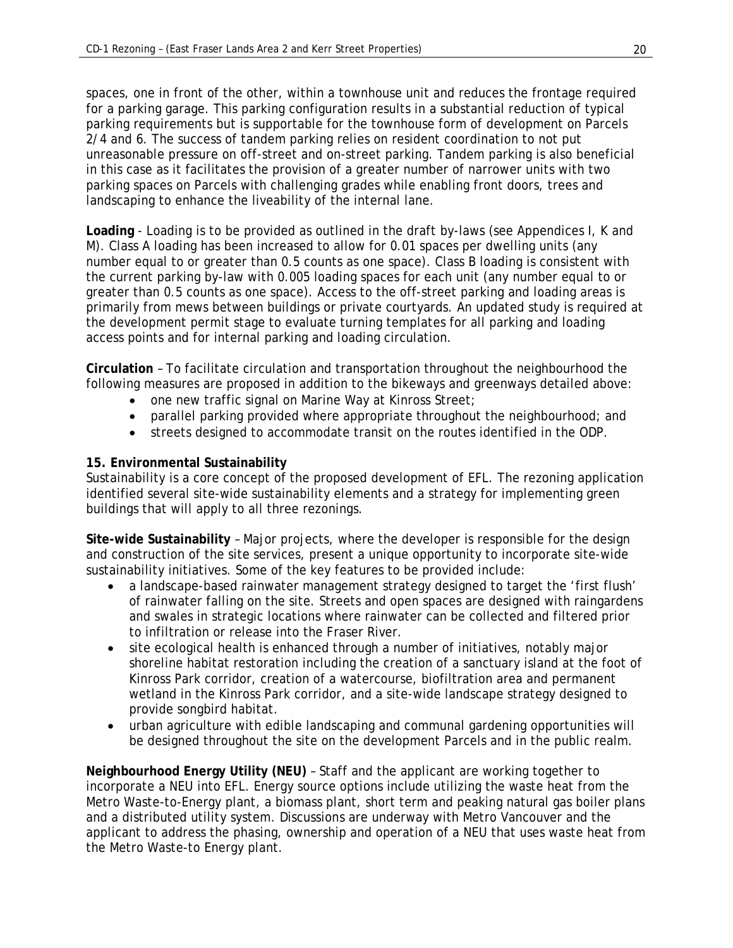spaces, one in front of the other, within a townhouse unit and reduces the frontage required for a parking garage. This parking configuration results in a substantial reduction of typical parking requirements but is supportable for the townhouse form of development on Parcels 2/4 and 6. The success of tandem parking relies on resident coordination to not put unreasonable pressure on off-street and on-street parking. Tandem parking is also beneficial in this case as it facilitates the provision of a greater number of narrower units with two parking spaces on Parcels with challenging grades while enabling front doors, trees and landscaping to enhance the liveability of the internal lane.

**Loading** - Loading is to be provided as outlined in the draft by-laws (see Appendices I, K and M). Class A loading has been increased to allow for 0.01 spaces per dwelling units (any number equal to or greater than 0.5 counts as one space). Class B loading is consistent with the current parking by-law with 0.005 loading spaces for each unit (any number equal to or greater than 0.5 counts as one space). Access to the off-street parking and loading areas is primarily from mews between buildings or private courtyards. An updated study is required at the development permit stage to evaluate turning templates for all parking and loading access points and for internal parking and loading circulation.

**Circulation** – To facilitate circulation and transportation throughout the neighbourhood the following measures are proposed in addition to the bikeways and greenways detailed above:

- one new traffic signal on Marine Way at Kinross Street;
- parallel parking provided where appropriate throughout the neighbourhood; and
- streets designed to accommodate transit on the routes identified in the ODP.

# **15. Environmental Sustainability**

Sustainability is a core concept of the proposed development of EFL. The rezoning application identified several site-wide sustainability elements and a strategy for implementing green buildings that will apply to all three rezonings.

**Site-wide Sustainability** – Major projects, where the developer is responsible for the design and construction of the site services, present a unique opportunity to incorporate site-wide sustainability initiatives. Some of the key features to be provided include:

- a landscape-based rainwater management strategy designed to target the 'first flush' of rainwater falling on the site. Streets and open spaces are designed with raingardens and swales in strategic locations where rainwater can be collected and filtered prior to infiltration or release into the Fraser River.
- site ecological health is enhanced through a number of initiatives, notably major shoreline habitat restoration including the creation of a sanctuary island at the foot of Kinross Park corridor, creation of a watercourse, biofiltration area and permanent wetland in the Kinross Park corridor, and a site-wide landscape strategy designed to provide songbird habitat.
- urban agriculture with edible landscaping and communal gardening opportunities will be designed throughout the site on the development Parcels and in the public realm.

**Neighbourhood Energy Utility (NEU)** – Staff and the applicant are working together to incorporate a NEU into EFL. Energy source options include utilizing the waste heat from the Metro Waste-to-Energy plant, a biomass plant, short term and peaking natural gas boiler plans and a distributed utility system. Discussions are underway with Metro Vancouver and the applicant to address the phasing, ownership and operation of a NEU that uses waste heat from the Metro Waste-to Energy plant.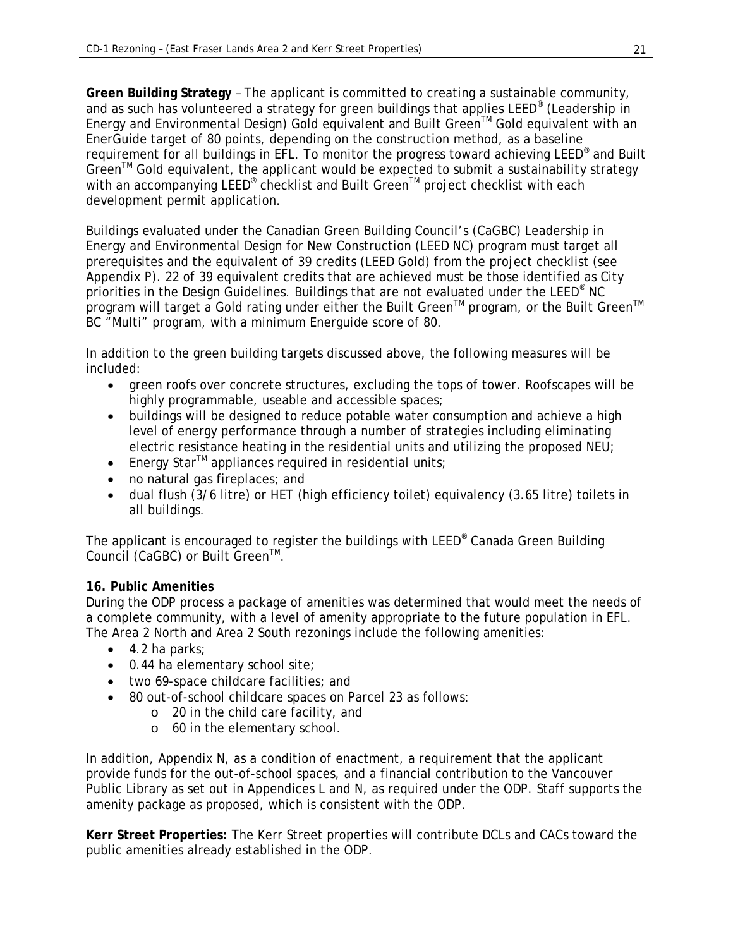**Green Building Strategy** – The applicant is committed to creating a sustainable community, and as such has volunteered a strategy for green buildings that applies LEED® (Leadership in Energy and Environmental Design) Gold equivalent and Built Green™ Gold equivalent with an EnerGuide target of 80 points, depending on the construction method, as a baseline requirement for all buildings in EFL. To monitor the progress toward achieving LEED<sup>®</sup> and Built  $G$ reen<sup>TM</sup> Gold equivalent, the applicant would be expected to submit a sustainability strategy with an accompanying LEED® checklist and Built Green™ project checklist with each development permit application.

Buildings evaluated under the Canadian Green Building Council's (CaGBC) Leadership in Energy and Environmental Design for New Construction (LEED NC) program must target all prerequisites and the equivalent of 39 credits (LEED Gold) from the project checklist (see Appendix P). 22 of 39 equivalent credits that are achieved must be those identified as City priorities in the Design Guidelines. Buildings that are not evaluated under the LEED® NC program will target a Gold rating under either the Built Green<sup>TM</sup> program, or the Built Green<sup>TM</sup> BC "Multi" program, with a minimum Energuide score of 80.

In addition to the green building targets discussed above, the following measures will be included:

- green roofs over concrete structures, excluding the tops of tower. Roofscapes will be highly programmable, useable and accessible spaces;
- buildings will be designed to reduce potable water consumption and achieve a high level of energy performance through a number of strategies including eliminating electric resistance heating in the residential units and utilizing the proposed NEU;
- Energy Star<sup>TM</sup> appliances required in residential units;
- no natural gas fireplaces; and
- dual flush (3/6 litre) or HET (high efficiency toilet) equivalency (3.65 litre) toilets in all buildings.

The applicant is encouraged to register the buildings with LEED<sup>®</sup> Canada Green Building Council (CaGBC) or Built Green<sup>™.</sup>

# **16. Public Amenities**

During the ODP process a package of amenities was determined that would meet the needs of a complete community, with a level of amenity appropriate to the future population in EFL. The Area 2 North and Area 2 South rezonings include the following amenities:

- $\bullet$  4.2 ha parks;
- 0.44 ha elementary school site;
- two 69-space childcare facilities; and
- 80 out-of-school childcare spaces on Parcel 23 as follows:
	- o 20 in the child care facility, and
	- o 60 in the elementary school.

In addition, Appendix N, as a condition of enactment, a requirement that the applicant provide funds for the out-of-school spaces, and a financial contribution to the Vancouver Public Library as set out in Appendices L and N, as required under the ODP. Staff supports the amenity package as proposed, which is consistent with the ODP.

**Kerr Street Properties:** The Kerr Street properties will contribute DCLs and CACs toward the public amenities already established in the ODP.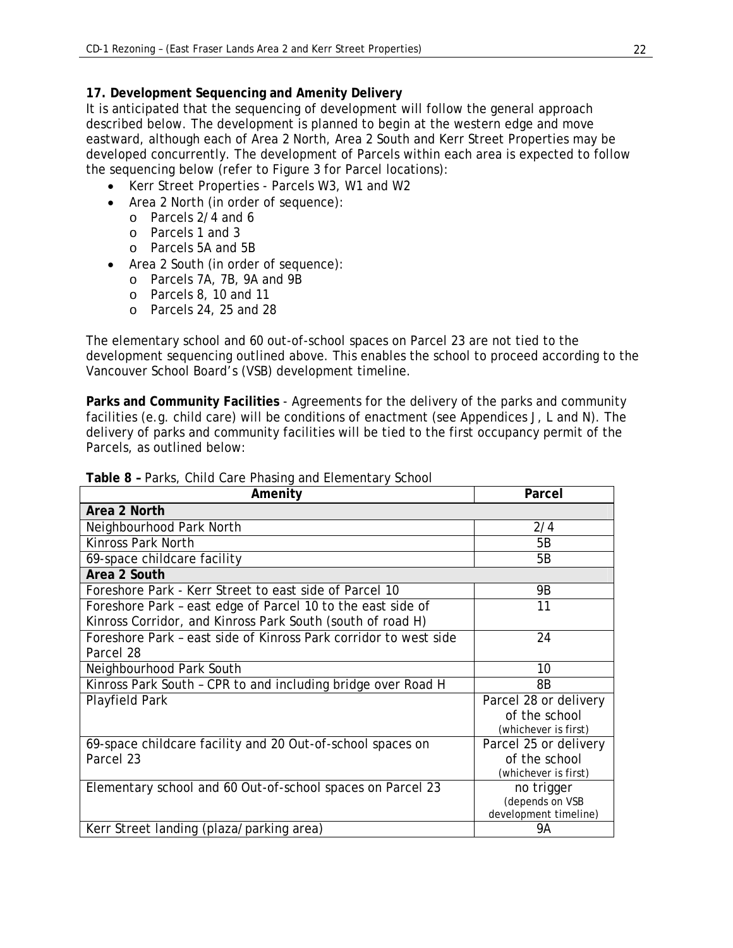## **17. Development Sequencing and Amenity Delivery**

It is anticipated that the sequencing of development will follow the general approach described below. The development is planned to begin at the western edge and move eastward, although each of Area 2 North, Area 2 South and Kerr Street Properties may be developed concurrently. The development of Parcels within each area is expected to follow the sequencing below (refer to Figure 3 for Parcel locations):

- Kerr Street Properties Parcels W3, W1 and W2
- Area 2 North (in order of sequence):
	- o Parcels 2/4 and 6
	- o Parcels 1 and 3
	- o Parcels 5A and 5B
- Area 2 South (in order of sequence):
	- o Parcels 7A, 7B, 9A and 9B
	- o Parcels 8, 10 and 11
	- o Parcels 24, 25 and 28

The elementary school and 60 out-of-school spaces on Parcel 23 are not tied to the development sequencing outlined above. This enables the school to proceed according to the Vancouver School Board's (VSB) development timeline.

**Parks and Community Facilities** - Agreements for the delivery of the parks and community facilities (e.g. child care) will be conditions of enactment (see Appendices J, L and N). The delivery of parks and community facilities will be tied to the first occupancy permit of the Parcels, as outlined below:

| Amenity                                                          | Parcel                |
|------------------------------------------------------------------|-----------------------|
| Area 2 North                                                     |                       |
| Neighbourhood Park North                                         | 2/4                   |
| <b>Kinross Park North</b>                                        | 5B                    |
| 69-space childcare facility                                      | 5B                    |
| Area 2 South                                                     |                       |
| Foreshore Park - Kerr Street to east side of Parcel 10           | 9Β                    |
| Foreshore Park - east edge of Parcel 10 to the east side of      | 11                    |
| Kinross Corridor, and Kinross Park South (south of road H)       |                       |
| Foreshore Park - east side of Kinross Park corridor to west side | 24                    |
| Parcel 28                                                        |                       |
| Neighbourhood Park South                                         | 10                    |
| Kinross Park South - CPR to and including bridge over Road H     | 8B                    |
| <b>Playfield Park</b>                                            | Parcel 28 or delivery |
|                                                                  | of the school         |
|                                                                  | (whichever is first)  |
| 69-space childcare facility and 20 Out-of-school spaces on       | Parcel 25 or delivery |
| Parcel 23                                                        | of the school         |
|                                                                  | (whichever is first)  |
| Elementary school and 60 Out-of-school spaces on Parcel 23       | no trigger            |
|                                                                  | (depends on VSB       |
|                                                                  | development timeline) |
| Kerr Street landing (plaza/parking area)                         | 9Α                    |

**Table 8 –** Parks, Child Care Phasing and Elementary School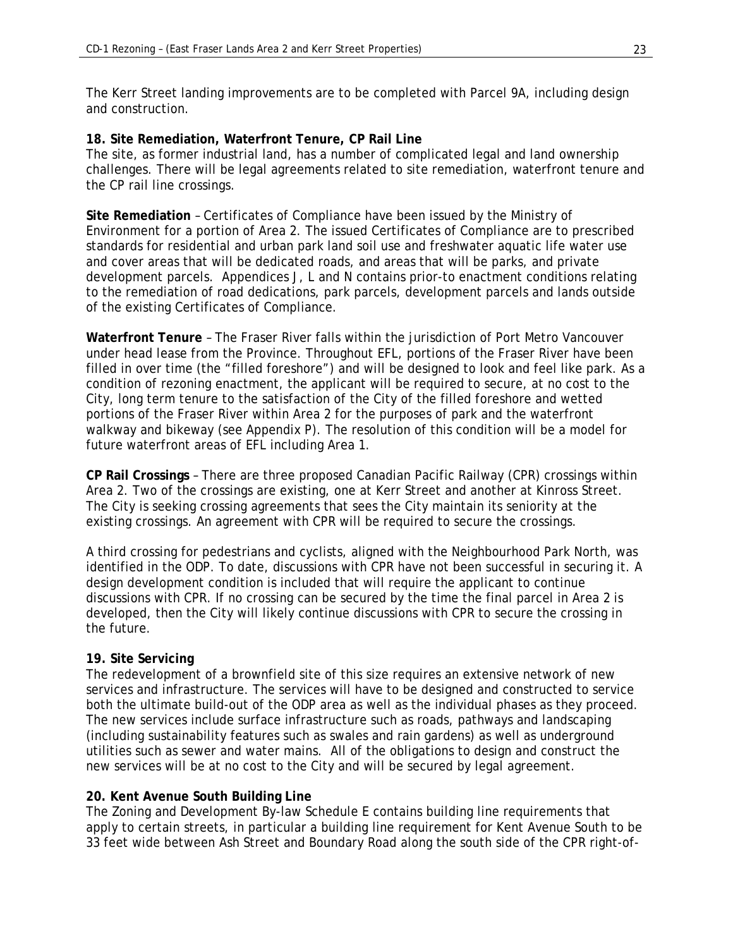The Kerr Street landing improvements are to be completed with Parcel 9A, including design and construction.

### **18. Site Remediation, Waterfront Tenure, CP Rail Line**

The site, as former industrial land, has a number of complicated legal and land ownership challenges. There will be legal agreements related to site remediation, waterfront tenure and the CP rail line crossings.

**Site Remediation** – Certificates of Compliance have been issued by the Ministry of Environment for a portion of Area 2. The issued Certificates of Compliance are to prescribed standards for residential and urban park land soil use and freshwater aquatic life water use and cover areas that will be dedicated roads, and areas that will be parks, and private development parcels. Appendices J, L and N contains prior-to enactment conditions relating to the remediation of road dedications, park parcels, development parcels and lands outside of the existing Certificates of Compliance.

**Waterfront Tenure** – The Fraser River falls within the jurisdiction of Port Metro Vancouver under head lease from the Province. Throughout EFL, portions of the Fraser River have been filled in over time (the "filled foreshore") and will be designed to look and feel like park. As a condition of rezoning enactment, the applicant will be required to secure, at no cost to the City, long term tenure to the satisfaction of the City of the filled foreshore and wetted portions of the Fraser River within Area 2 for the purposes of park and the waterfront walkway and bikeway (see Appendix P). The resolution of this condition will be a model for future waterfront areas of EFL including Area 1.

**CP Rail Crossings** – There are three proposed Canadian Pacific Railway (CPR) crossings within Area 2. Two of the crossings are existing, one at Kerr Street and another at Kinross Street. The City is seeking crossing agreements that sees the City maintain its seniority at the existing crossings. An agreement with CPR will be required to secure the crossings.

A third crossing for pedestrians and cyclists, aligned with the Neighbourhood Park North, was identified in the ODP. To date, discussions with CPR have not been successful in securing it. A design development condition is included that will require the applicant to continue discussions with CPR. If no crossing can be secured by the time the final parcel in Area 2 is developed, then the City will likely continue discussions with CPR to secure the crossing in the future.

# **19. Site Servicing**

The redevelopment of a brownfield site of this size requires an extensive network of new services and infrastructure. The services will have to be designed and constructed to service both the ultimate build-out of the ODP area as well as the individual phases as they proceed. The new services include surface infrastructure such as roads, pathways and landscaping (including sustainability features such as swales and rain gardens) as well as underground utilities such as sewer and water mains. All of the obligations to design and construct the new services will be at no cost to the City and will be secured by legal agreement.

### **20. Kent Avenue South Building Line**

The Zoning and Development By-law Schedule E contains building line requirements that apply to certain streets, in particular a building line requirement for Kent Avenue South to be 33 feet wide between Ash Street and Boundary Road along the south side of the CPR right-of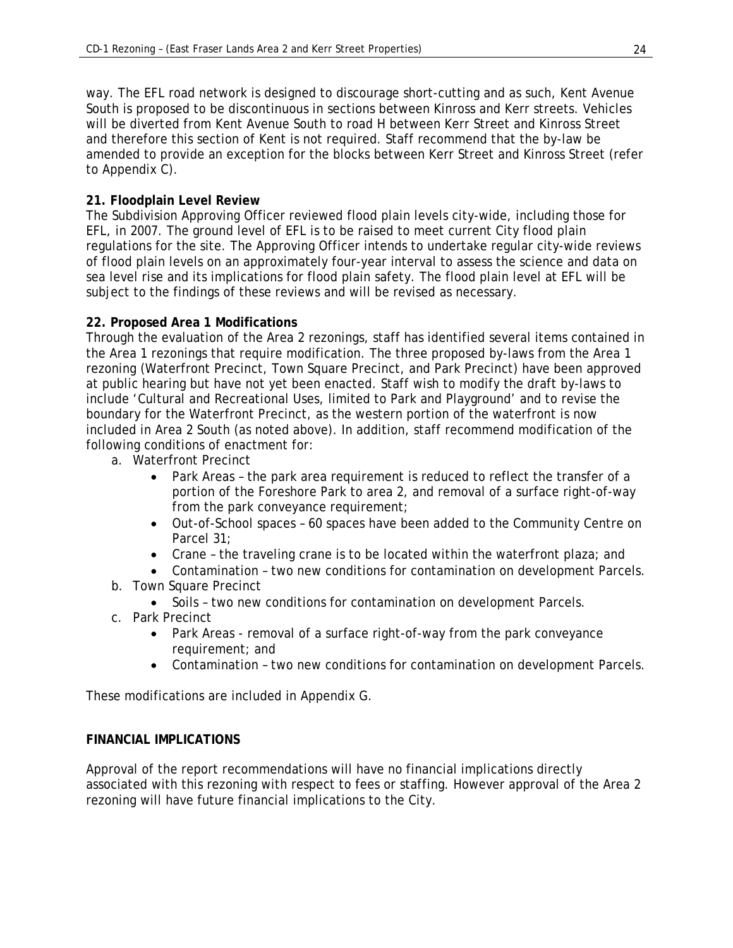way. The EFL road network is designed to discourage short-cutting and as such, Kent Avenue South is proposed to be discontinuous in sections between Kinross and Kerr streets. Vehicles will be diverted from Kent Avenue South to road H between Kerr Street and Kinross Street and therefore this section of Kent is not required. Staff recommend that the by-law be amended to provide an exception for the blocks between Kerr Street and Kinross Street (refer to Appendix C).

# **21. Floodplain Level Review**

The Subdivision Approving Officer reviewed flood plain levels city-wide, including those for EFL, in 2007. The ground level of EFL is to be raised to meet current City flood plain regulations for the site. The Approving Officer intends to undertake regular city-wide reviews of flood plain levels on an approximately four-year interval to assess the science and data on sea level rise and its implications for flood plain safety. The flood plain level at EFL will be subject to the findings of these reviews and will be revised as necessary.

## **22. Proposed Area 1 Modifications**

Through the evaluation of the Area 2 rezonings, staff has identified several items contained in the Area 1 rezonings that require modification. The three proposed by-laws from the Area 1 rezoning (Waterfront Precinct, Town Square Precinct, and Park Precinct) have been approved at public hearing but have not yet been enacted. Staff wish to modify the draft by-laws to include 'Cultural and Recreational Uses, limited to Park and Playground' and to revise the boundary for the Waterfront Precinct, as the western portion of the waterfront is now included in Area 2 South (as noted above). In addition, staff recommend modification of the following conditions of enactment for:

- a. Waterfront Precinct
	- Park Areas the park area requirement is reduced to reflect the transfer of a portion of the Foreshore Park to area 2, and removal of a surface right-of-way from the park conveyance requirement;
	- Out-of-School spaces 60 spaces have been added to the Community Centre on Parcel 31;
	- Crane the traveling crane is to be located within the waterfront plaza; and
	- Contamination two new conditions for contamination on development Parcels.
- b. Town Square Precinct
	- Soils two new conditions for contamination on development Parcels.
- c. Park Precinct
	- Park Areas removal of a surface right-of-way from the park conveyance requirement; and
	- Contamination two new conditions for contamination on development Parcels.

These modifications are included in Appendix G.

### **FINANCIAL IMPLICATIONS**

Approval of the report recommendations will have no financial implications directly associated with this rezoning with respect to fees or staffing. However approval of the Area 2 rezoning will have future financial implications to the City.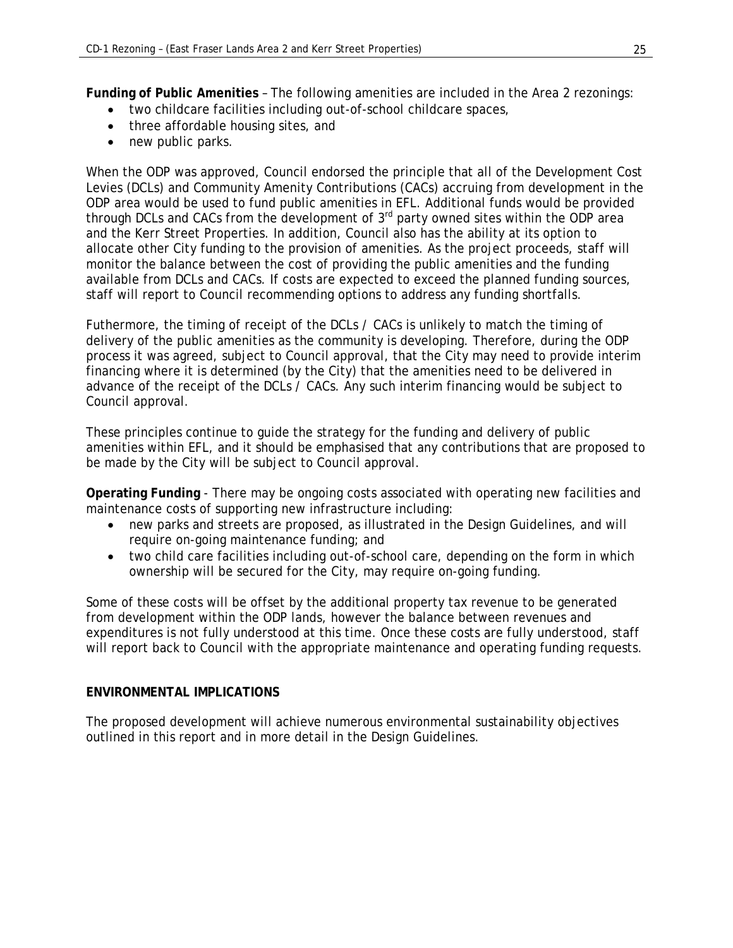**Funding of Public Amenities** – The following amenities are included in the Area 2 rezonings:

- two childcare facilities including out-of-school childcare spaces,
- three affordable housing sites, and
- new public parks.

When the ODP was approved, Council endorsed the principle that all of the Development Cost Levies (DCLs) and Community Amenity Contributions (CACs) accruing from development in the ODP area would be used to fund public amenities in EFL. Additional funds would be provided through DCLs and CACs from the development of 3<sup>rd</sup> party owned sites within the ODP area and the Kerr Street Properties. In addition, Council also has the ability at its option to allocate other City funding to the provision of amenities. As the project proceeds, staff will monitor the balance between the cost of providing the public amenities and the funding available from DCLs and CACs. If costs are expected to exceed the planned funding sources, staff will report to Council recommending options to address any funding shortfalls.

Futhermore, the timing of receipt of the DCLs / CACs is unlikely to match the timing of delivery of the public amenities as the community is developing. Therefore, during the ODP process it was agreed, subject to Council approval, that the City may need to provide interim financing where it is determined (by the City) that the amenities need to be delivered in advance of the receipt of the DCLs / CACs. Any such interim financing would be subject to Council approval.

These principles continue to guide the strategy for the funding and delivery of public amenities within EFL, and it should be emphasised that any contributions that are proposed to be made by the City will be subject to Council approval.

**Operating Funding** - There may be ongoing costs associated with operating new facilities and maintenance costs of supporting new infrastructure including:

- new parks and streets are proposed, as illustrated in the Design Guidelines, and will require on-going maintenance funding; and
- two child care facilities including out-of-school care, depending on the form in which ownership will be secured for the City, may require on-going funding.

Some of these costs will be offset by the additional property tax revenue to be generated from development within the ODP lands, however the balance between revenues and expenditures is not fully understood at this time. Once these costs are fully understood, staff will report back to Council with the appropriate maintenance and operating funding requests.

### **ENVIRONMENTAL IMPLICATIONS**

The proposed development will achieve numerous environmental sustainability objectives outlined in this report and in more detail in the Design Guidelines.